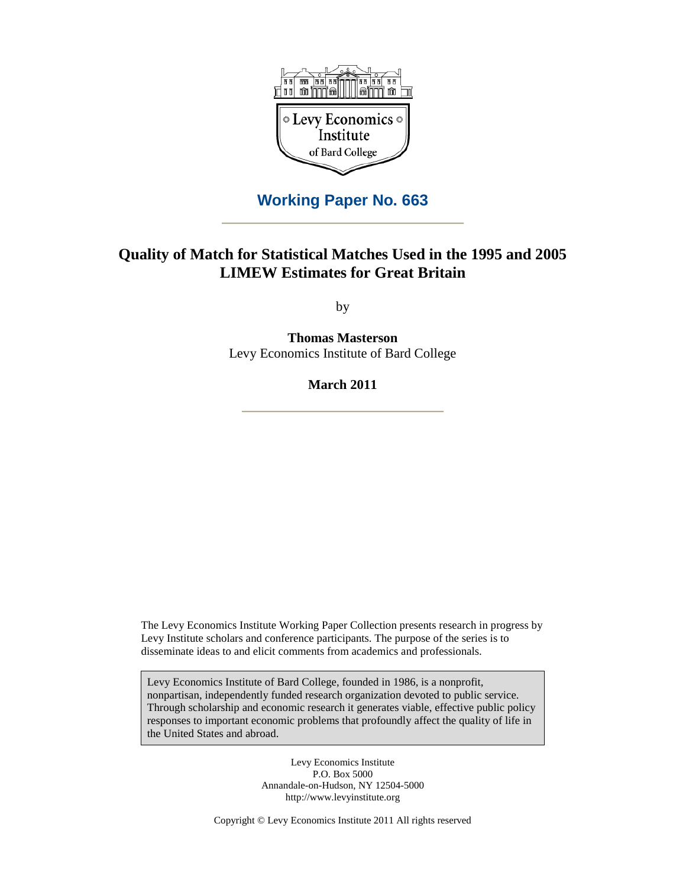

# **Working Paper No. 663**

# **Quality of Match for Statistical Matches Used in the 1995 and 2005 LIMEW Estimates for Great Britain**

by

**Thomas Masterson**  Levy Economics Institute of Bard College

**March 2011** 

The Levy Economics Institute Working Paper Collection presents research in progress by Levy Institute scholars and conference participants. The purpose of the series is to disseminate ideas to and elicit comments from academics and professionals.

Levy Economics Institute of Bard College, founded in 1986, is a nonprofit, nonpartisan, independently funded research organization devoted to public service. Through scholarship and economic research it generates viable, effective public policy responses to important economic problems that profoundly affect the quality of life in the United States and abroad.

> Levy Economics Institute P.O. Box 5000 Annandale-on-Hudson, NY 12504-5000 http://www.levyinstitute.org

Copyright © Levy Economics Institute 2011 All rights reserved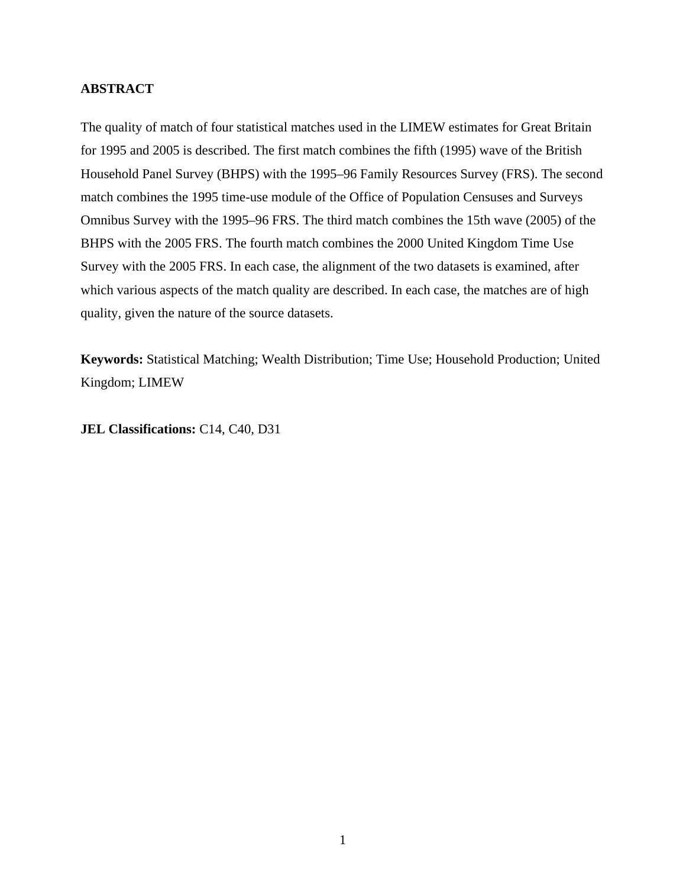## **ABSTRACT**

The quality of match of four statistical matches used in the LIMEW estimates for Great Britain for 1995 and 2005 is described. The first match combines the fifth (1995) wave of the British Household Panel Survey (BHPS) with the 1995–96 Family Resources Survey (FRS). The second match combines the 1995 time-use module of the Office of Population Censuses and Surveys Omnibus Survey with the 1995–96 FRS. The third match combines the 15th wave (2005) of the BHPS with the 2005 FRS. The fourth match combines the 2000 United Kingdom Time Use Survey with the 2005 FRS. In each case, the alignment of the two datasets is examined, after which various aspects of the match quality are described. In each case, the matches are of high quality, given the nature of the source datasets.

**Keywords:** Statistical Matching; Wealth Distribution; Time Use; Household Production; United Kingdom; LIMEW

**JEL Classifications:** C14, C40, D31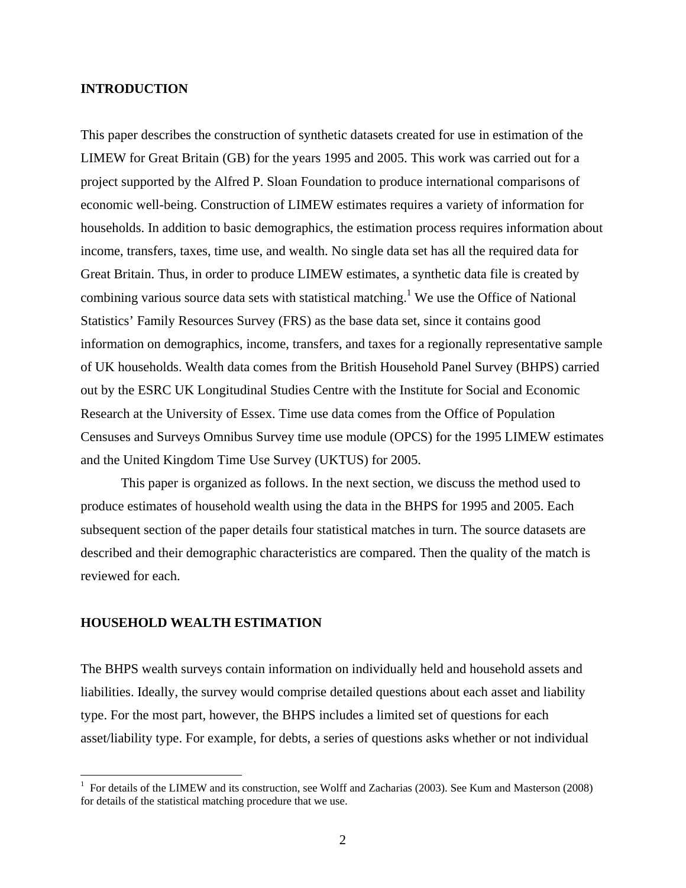#### **INTRODUCTION**

This paper describes the construction of synthetic datasets created for use in estimation of the LIMEW for Great Britain (GB) for the years 1995 and 2005. This work was carried out for a project supported by the Alfred P. Sloan Foundation to produce international comparisons of economic well-being. Construction of LIMEW estimates requires a variety of information for households. In addition to basic demographics, the estimation process requires information about income, transfers, taxes, time use, and wealth. No single data set has all the required data for Great Britain. Thus, in order to produce LIMEW estimates, a synthetic data file is created by combining various source data sets with statistical matching.<sup>1</sup> We use the Office of National Statistics' Family Resources Survey (FRS) as the base data set, since it contains good information on demographics, income, transfers, and taxes for a regionally representative sample of UK households. Wealth data comes from the British Household Panel Survey (BHPS) carried out by the ESRC UK Longitudinal Studies Centre with the Institute for Social and Economic Research at the University of Essex. Time use data comes from the Office of Population Censuses and Surveys Omnibus Survey time use module (OPCS) for the 1995 LIMEW estimates and the United Kingdom Time Use Survey (UKTUS) for 2005.

This paper is organized as follows. In the next section, we discuss the method used to produce estimates of household wealth using the data in the BHPS for 1995 and 2005. Each subsequent section of the paper details four statistical matches in turn. The source datasets are described and their demographic characteristics are compared. Then the quality of the match is reviewed for each.

## **HOUSEHOLD WEALTH ESTIMATION**

 $\overline{a}$ 

The BHPS wealth surveys contain information on individually held and household assets and liabilities. Ideally, the survey would comprise detailed questions about each asset and liability type. For the most part, however, the BHPS includes a limited set of questions for each asset/liability type. For example, for debts, a series of questions asks whether or not individual

<sup>&</sup>lt;sup>1</sup> For details of the LIMEW and its construction, see Wolff and Zacharias (2003). See Kum and Masterson (2008) for details of the statistical matching procedure that we use.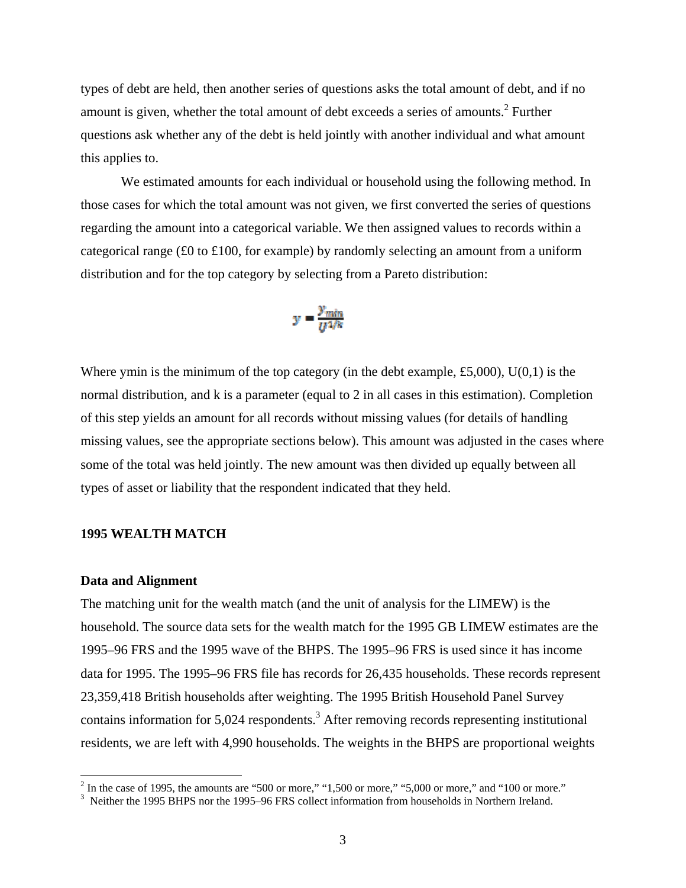types of debt are held, then another series of questions asks the total amount of debt, and if no amount is given, whether the total amount of debt exceeds a series of amounts. $2$  Further questions ask whether any of the debt is held jointly with another individual and what amount this applies to.

We estimated amounts for each individual or household using the following method. In those cases for which the total amount was not given, we first converted the series of questions regarding the amount into a categorical variable. We then assigned values to records within a categorical range (£0 to £100, for example) by randomly selecting an amount from a uniform distribution and for the top category by selecting from a Pareto distribution:

$$
y = \frac{y_{min}}{U^{1/k}}
$$

Where ymin is the minimum of the top category (in the debt example, £5,000),  $U(0,1)$  is the normal distribution, and k is a parameter (equal to 2 in all cases in this estimation). Completion of this step yields an amount for all records without missing values (for details of handling missing values, see the appropriate sections below). This amount was adjusted in the cases where some of the total was held jointly. The new amount was then divided up equally between all types of asset or liability that the respondent indicated that they held.

#### **1995 WEALTH MATCH**

#### **Data and Alignment**

The matching unit for the wealth match (and the unit of analysis for the LIMEW) is the household. The source data sets for the wealth match for the 1995 GB LIMEW estimates are the 1995–96 FRS and the 1995 wave of the BHPS. The 1995–96 FRS is used since it has income data for 1995. The 1995–96 FRS file has records for 26,435 households. These records represent 23,359,418 British households after weighting. The 1995 British Household Panel Survey contains information for  $5,024$  respondents.<sup>3</sup> After removing records representing institutional residents, we are left with 4,990 households. The weights in the BHPS are proportional weights

 $\frac{1}{2}$  In the case of 1995, the amounts are "500 or more," "1,500 or more," "5,000 or more," and "100 or more."

<sup>&</sup>lt;sup>3</sup> Neither the 1995 BHPS nor the 1995–96 FRS collect information from households in Northern Ireland.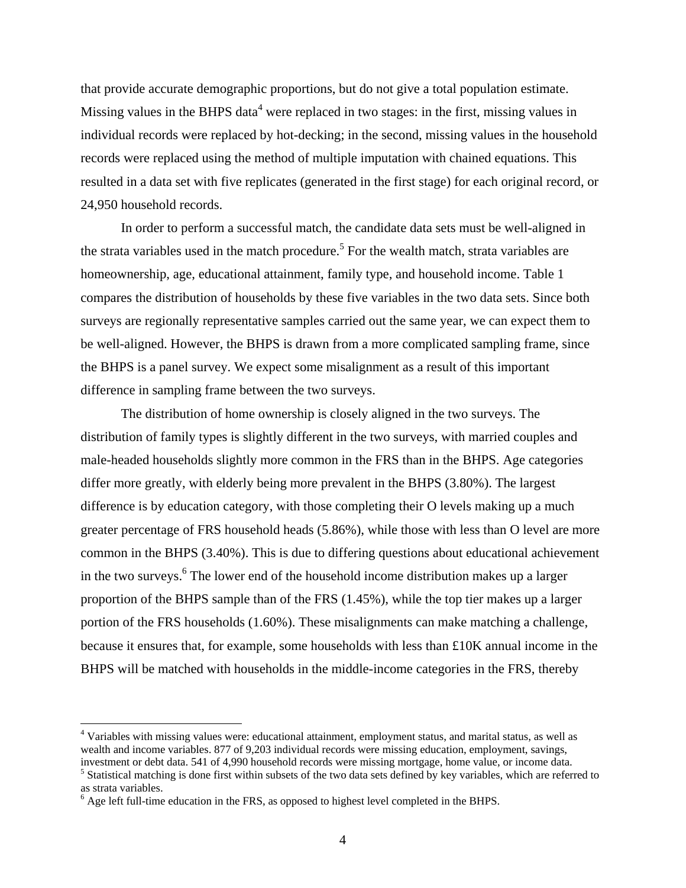that provide accurate demographic proportions, but do not give a total population estimate. Missing values in the BHPS data<sup>4</sup> were replaced in two stages: in the first, missing values in individual records were replaced by hot-decking; in the second, missing values in the household records were replaced using the method of multiple imputation with chained equations. This resulted in a data set with five replicates (generated in the first stage) for each original record, or 24,950 household records.

In order to perform a successful match, the candidate data sets must be well-aligned in the strata variables used in the match procedure.<sup>5</sup> For the wealth match, strata variables are homeownership, age, educational attainment, family type, and household income. Table 1 compares the distribution of households by these five variables in the two data sets. Since both surveys are regionally representative samples carried out the same year, we can expect them to be well-aligned. However, the BHPS is drawn from a more complicated sampling frame, since the BHPS is a panel survey. We expect some misalignment as a result of this important difference in sampling frame between the two surveys.

The distribution of home ownership is closely aligned in the two surveys. The distribution of family types is slightly different in the two surveys, with married couples and male-headed households slightly more common in the FRS than in the BHPS. Age categories differ more greatly, with elderly being more prevalent in the BHPS (3.80%). The largest difference is by education category, with those completing their O levels making up a much greater percentage of FRS household heads (5.86%), while those with less than O level are more common in the BHPS (3.40%). This is due to differing questions about educational achievement in the two surveys.<sup>6</sup> The lower end of the household income distribution makes up a larger proportion of the BHPS sample than of the FRS (1.45%), while the top tier makes up a larger portion of the FRS households (1.60%). These misalignments can make matching a challenge, because it ensures that, for example, some households with less than £10K annual income in the BHPS will be matched with households in the middle-income categories in the FRS, thereby

 $\overline{a}$ 

<sup>&</sup>lt;sup>4</sup> Variables with missing values were: educational attainment, employment status, and marital status, as well as wealth and income variables. 877 of 9,203 individual records were missing education, employment, savings, investment or debt data. 541 of 4,990 household records were missing mortgage, home value, or income data.

<sup>&</sup>lt;sup>5</sup> Statistical matching is done first within subsets of the two data sets defined by key variables, which are referred to as strata variables.

 $<sup>6</sup>$  Age left full-time education in the FRS, as opposed to highest level completed in the BHPS.</sup>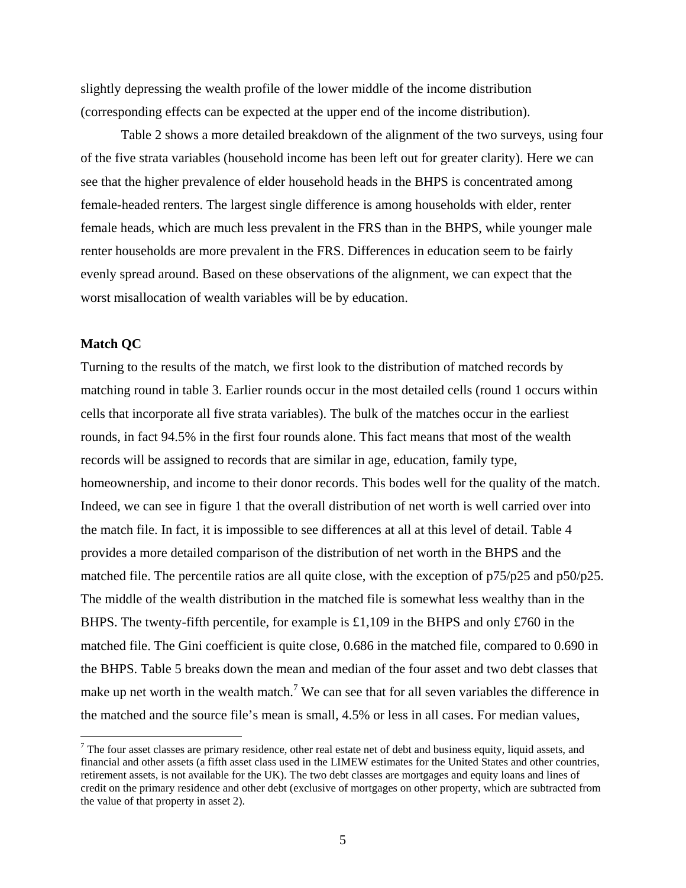slightly depressing the wealth profile of the lower middle of the income distribution (corresponding effects can be expected at the upper end of the income distribution).

Table 2 shows a more detailed breakdown of the alignment of the two surveys, using four of the five strata variables (household income has been left out for greater clarity). Here we can see that the higher prevalence of elder household heads in the BHPS is concentrated among female-headed renters. The largest single difference is among households with elder, renter female heads, which are much less prevalent in the FRS than in the BHPS, while younger male renter households are more prevalent in the FRS. Differences in education seem to be fairly evenly spread around. Based on these observations of the alignment, we can expect that the worst misallocation of wealth variables will be by education.

#### **Match QC**

1

Turning to the results of the match, we first look to the distribution of matched records by matching round in table 3. Earlier rounds occur in the most detailed cells (round 1 occurs within cells that incorporate all five strata variables). The bulk of the matches occur in the earliest rounds, in fact 94.5% in the first four rounds alone. This fact means that most of the wealth records will be assigned to records that are similar in age, education, family type, homeownership, and income to their donor records. This bodes well for the quality of the match. Indeed, we can see in figure 1 that the overall distribution of net worth is well carried over into the match file. In fact, it is impossible to see differences at all at this level of detail. Table 4 provides a more detailed comparison of the distribution of net worth in the BHPS and the matched file. The percentile ratios are all quite close, with the exception of p75/p25 and p50/p25. The middle of the wealth distribution in the matched file is somewhat less wealthy than in the BHPS. The twenty-fifth percentile, for example is £1,109 in the BHPS and only £760 in the matched file. The Gini coefficient is quite close, 0.686 in the matched file, compared to 0.690 in the BHPS. Table 5 breaks down the mean and median of the four asset and two debt classes that make up net worth in the wealth match.<sup>7</sup> We can see that for all seven variables the difference in the matched and the source file's mean is small, 4.5% or less in all cases. For median values,

 $7$  The four asset classes are primary residence, other real estate net of debt and business equity, liquid assets, and financial and other assets (a fifth asset class used in the LIMEW estimates for the United States and other countries, retirement assets, is not available for the UK). The two debt classes are mortgages and equity loans and lines of credit on the primary residence and other debt (exclusive of mortgages on other property, which are subtracted from the value of that property in asset 2).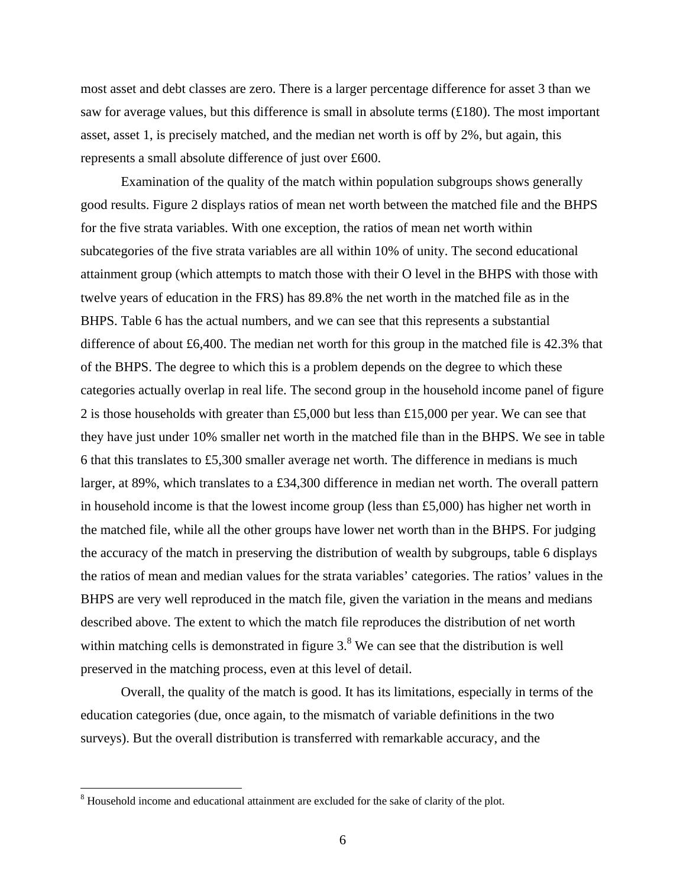most asset and debt classes are zero. There is a larger percentage difference for asset 3 than we saw for average values, but this difference is small in absolute terms  $(\text{\pounds}180)$ . The most important asset, asset 1, is precisely matched, and the median net worth is off by 2%, but again, this represents a small absolute difference of just over £600.

Examination of the quality of the match within population subgroups shows generally good results. Figure 2 displays ratios of mean net worth between the matched file and the BHPS for the five strata variables. With one exception, the ratios of mean net worth within subcategories of the five strata variables are all within 10% of unity. The second educational attainment group (which attempts to match those with their O level in the BHPS with those with twelve years of education in the FRS) has 89.8% the net worth in the matched file as in the BHPS. Table 6 has the actual numbers, and we can see that this represents a substantial difference of about £6,400. The median net worth for this group in the matched file is 42.3% that of the BHPS. The degree to which this is a problem depends on the degree to which these categories actually overlap in real life. The second group in the household income panel of figure 2 is those households with greater than £5,000 but less than £15,000 per year. We can see that they have just under 10% smaller net worth in the matched file than in the BHPS. We see in table 6 that this translates to £5,300 smaller average net worth. The difference in medians is much larger, at 89%, which translates to a £34,300 difference in median net worth. The overall pattern in household income is that the lowest income group (less than £5,000) has higher net worth in the matched file, while all the other groups have lower net worth than in the BHPS. For judging the accuracy of the match in preserving the distribution of wealth by subgroups, table 6 displays the ratios of mean and median values for the strata variables' categories. The ratios' values in the BHPS are very well reproduced in the match file, given the variation in the means and medians described above. The extent to which the match file reproduces the distribution of net worth within matching cells is demonstrated in figure  $3.8$ <sup>8</sup> We can see that the distribution is well preserved in the matching process, even at this level of detail.

Overall, the quality of the match is good. It has its limitations, especially in terms of the education categories (due, once again, to the mismatch of variable definitions in the two surveys). But the overall distribution is transferred with remarkable accuracy, and the

<sup>&</sup>lt;sup>8</sup> Household income and educational attainment are excluded for the sake of clarity of the plot.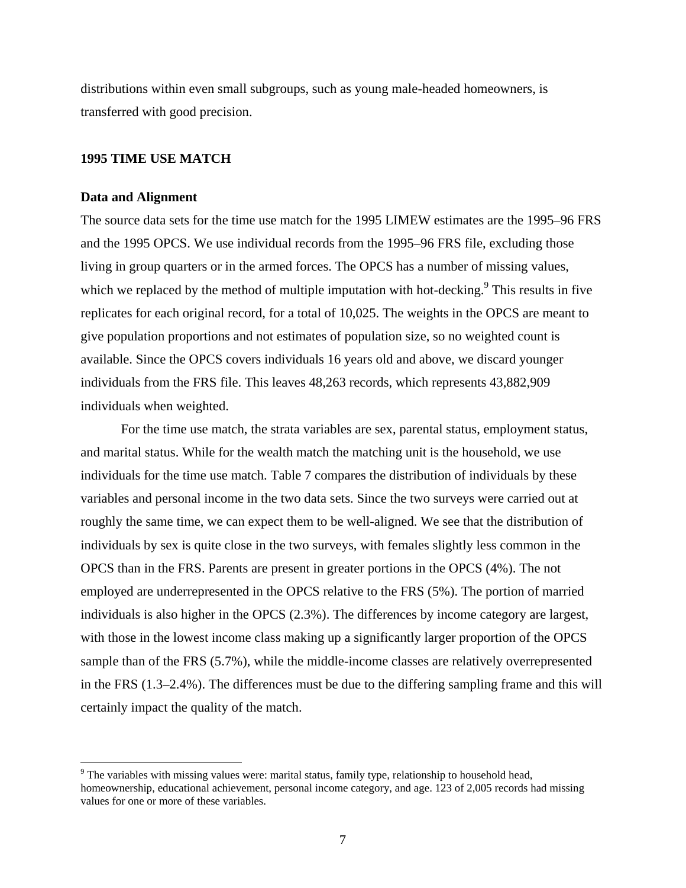distributions within even small subgroups, such as young male-headed homeowners, is transferred with good precision.

#### **1995 TIME USE MATCH**

#### **Data and Alignment**

 $\overline{a}$ 

The source data sets for the time use match for the 1995 LIMEW estimates are the 1995–96 FRS and the 1995 OPCS. We use individual records from the 1995–96 FRS file, excluding those living in group quarters or in the armed forces. The OPCS has a number of missing values, which we replaced by the method of multiple imputation with hot-decking. $9$  This results in five replicates for each original record, for a total of 10,025. The weights in the OPCS are meant to give population proportions and not estimates of population size, so no weighted count is available. Since the OPCS covers individuals 16 years old and above, we discard younger individuals from the FRS file. This leaves 48,263 records, which represents 43,882,909 individuals when weighted.

For the time use match, the strata variables are sex, parental status, employment status, and marital status. While for the wealth match the matching unit is the household, we use individuals for the time use match. Table 7 compares the distribution of individuals by these variables and personal income in the two data sets. Since the two surveys were carried out at roughly the same time, we can expect them to be well-aligned. We see that the distribution of individuals by sex is quite close in the two surveys, with females slightly less common in the OPCS than in the FRS. Parents are present in greater portions in the OPCS (4%). The not employed are underrepresented in the OPCS relative to the FRS (5%). The portion of married individuals is also higher in the OPCS (2.3%). The differences by income category are largest, with those in the lowest income class making up a significantly larger proportion of the OPCS sample than of the FRS (5.7%), while the middle-income classes are relatively overrepresented in the FRS (1.3–2.4%). The differences must be due to the differing sampling frame and this will certainly impact the quality of the match.

 $9$  The variables with missing values were: marital status, family type, relationship to household head, homeownership, educational achievement, personal income category, and age. 123 of 2,005 records had missing values for one or more of these variables.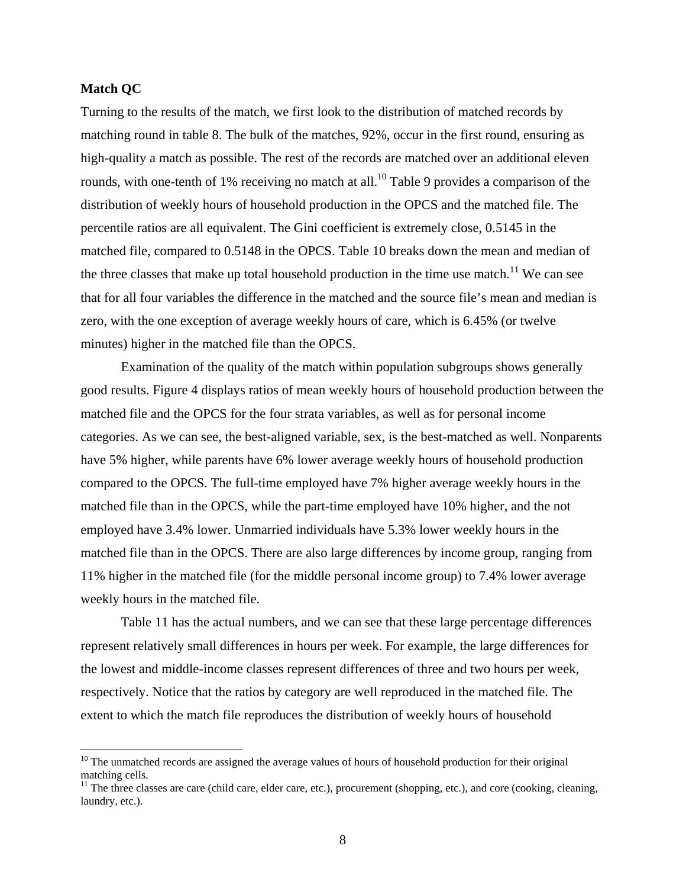#### **Match QC**

 $\overline{a}$ 

Turning to the results of the match, we first look to the distribution of matched records by matching round in table 8. The bulk of the matches, 92%, occur in the first round, ensuring as high-quality a match as possible. The rest of the records are matched over an additional eleven rounds, with one-tenth of 1% receiving no match at all.<sup>10</sup> Table 9 provides a comparison of the distribution of weekly hours of household production in the OPCS and the matched file. The percentile ratios are all equivalent. The Gini coefficient is extremely close, 0.5145 in the matched file, compared to 0.5148 in the OPCS. Table 10 breaks down the mean and median of the three classes that make up total household production in the time use match.<sup>11</sup> We can see that for all four variables the difference in the matched and the source file's mean and median is zero, with the one exception of average weekly hours of care, which is 6.45% (or twelve minutes) higher in the matched file than the OPCS.

Examination of the quality of the match within population subgroups shows generally good results. Figure 4 displays ratios of mean weekly hours of household production between the matched file and the OPCS for the four strata variables, as well as for personal income categories. As we can see, the best-aligned variable, sex, is the best-matched as well. Nonparents have 5% higher, while parents have 6% lower average weekly hours of household production compared to the OPCS. The full-time employed have 7% higher average weekly hours in the matched file than in the OPCS, while the part-time employed have 10% higher, and the not employed have 3.4% lower. Unmarried individuals have 5.3% lower weekly hours in the matched file than in the OPCS. There are also large differences by income group, ranging from 11% higher in the matched file (for the middle personal income group) to 7.4% lower average weekly hours in the matched file.

Table 11 has the actual numbers, and we can see that these large percentage differences represent relatively small differences in hours per week. For example, the large differences for the lowest and middle-income classes represent differences of three and two hours per week, respectively. Notice that the ratios by category are well reproduced in the matched file. The extent to which the match file reproduces the distribution of weekly hours of household

<sup>&</sup>lt;sup>10</sup> The unmatched records are assigned the average values of hours of household production for their original matching cells.

<sup>&</sup>lt;sup>11</sup> The three classes are care (child care, elder care, etc.), procurement (shopping, etc.), and core (cooking, cleaning, laundry, etc.).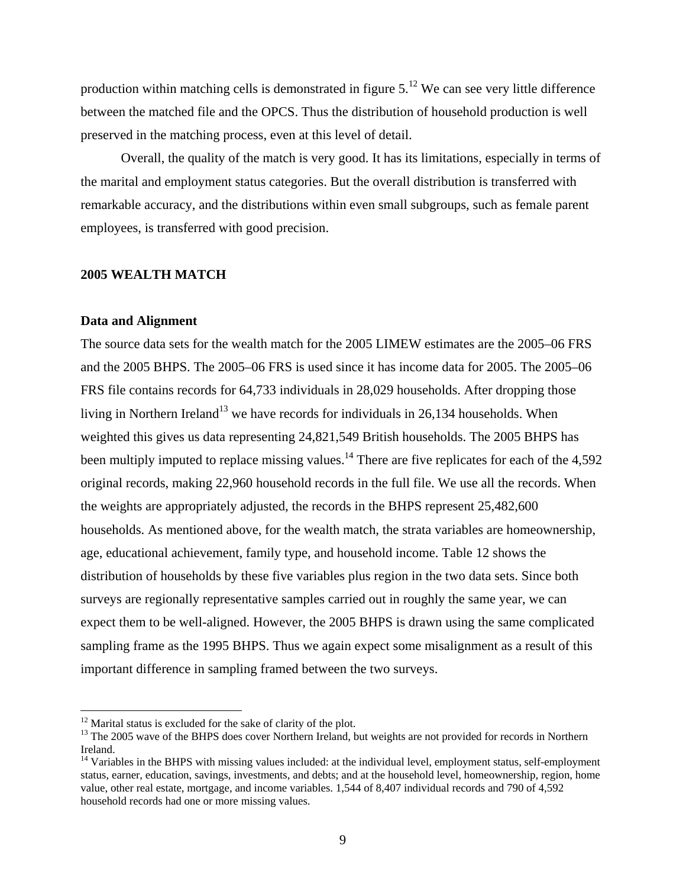production within matching cells is demonstrated in figure  $5.^{12}$  We can see very little difference between the matched file and the OPCS. Thus the distribution of household production is well preserved in the matching process, even at this level of detail.

Overall, the quality of the match is very good. It has its limitations, especially in terms of the marital and employment status categories. But the overall distribution is transferred with remarkable accuracy, and the distributions within even small subgroups, such as female parent employees, is transferred with good precision.

#### **2005 WEALTH MATCH**

#### **Data and Alignment**

 $\overline{a}$ 

The source data sets for the wealth match for the 2005 LIMEW estimates are the 2005–06 FRS and the 2005 BHPS. The 2005–06 FRS is used since it has income data for 2005. The 2005–06 FRS file contains records for 64,733 individuals in 28,029 households. After dropping those living in Northern Ireland<sup>13</sup> we have records for individuals in 26,134 households. When weighted this gives us data representing 24,821,549 British households. The 2005 BHPS has been multiply imputed to replace missing values.<sup>14</sup> There are five replicates for each of the 4,592 original records, making 22,960 household records in the full file. We use all the records. When the weights are appropriately adjusted, the records in the BHPS represent 25,482,600 households. As mentioned above, for the wealth match, the strata variables are homeownership, age, educational achievement, family type, and household income. Table 12 shows the distribution of households by these five variables plus region in the two data sets. Since both surveys are regionally representative samples carried out in roughly the same year, we can expect them to be well-aligned. However, the 2005 BHPS is drawn using the same complicated sampling frame as the 1995 BHPS. Thus we again expect some misalignment as a result of this important difference in sampling framed between the two surveys.

 $12$  Marital status is excluded for the sake of clarity of the plot.

<sup>&</sup>lt;sup>13</sup> The 2005 wave of the BHPS does cover Northern Ireland, but weights are not provided for records in Northern Ireland.

 $14$  Variables in the BHPS with missing values included: at the individual level, employment status, self-employment status, earner, education, savings, investments, and debts; and at the household level, homeownership, region, home value, other real estate, mortgage, and income variables. 1,544 of 8,407 individual records and 790 of 4,592 household records had one or more missing values.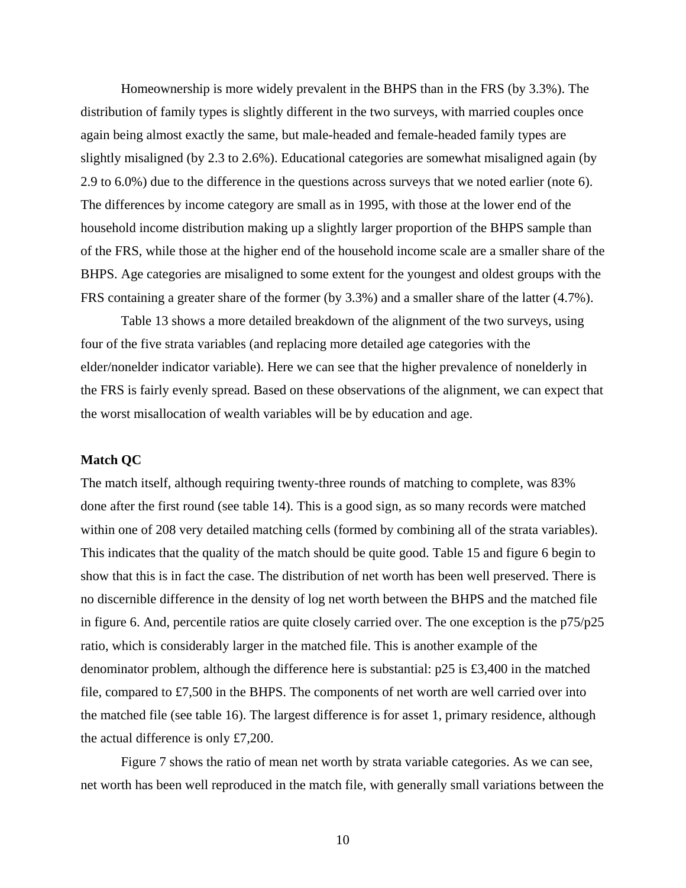Homeownership is more widely prevalent in the BHPS than in the FRS (by 3.3%). The distribution of family types is slightly different in the two surveys, with married couples once again being almost exactly the same, but male-headed and female-headed family types are slightly misaligned (by 2.3 to 2.6%). Educational categories are somewhat misaligned again (by 2.9 to 6.0%) due to the difference in the questions across surveys that we noted earlier (note 6). The differences by income category are small as in 1995, with those at the lower end of the household income distribution making up a slightly larger proportion of the BHPS sample than of the FRS, while those at the higher end of the household income scale are a smaller share of the BHPS. Age categories are misaligned to some extent for the youngest and oldest groups with the FRS containing a greater share of the former (by 3.3%) and a smaller share of the latter (4.7%).

Table 13 shows a more detailed breakdown of the alignment of the two surveys, using four of the five strata variables (and replacing more detailed age categories with the elder/nonelder indicator variable). Here we can see that the higher prevalence of nonelderly in the FRS is fairly evenly spread. Based on these observations of the alignment, we can expect that the worst misallocation of wealth variables will be by education and age.

#### **Match QC**

The match itself, although requiring twenty-three rounds of matching to complete, was 83% done after the first round (see table 14). This is a good sign, as so many records were matched within one of 208 very detailed matching cells (formed by combining all of the strata variables). This indicates that the quality of the match should be quite good. Table 15 and figure 6 begin to show that this is in fact the case. The distribution of net worth has been well preserved. There is no discernible difference in the density of log net worth between the BHPS and the matched file in figure 6. And, percentile ratios are quite closely carried over. The one exception is the p75/p25 ratio, which is considerably larger in the matched file. This is another example of the denominator problem, although the difference here is substantial:  $p25$  is £3,400 in the matched file, compared to  $\text{\pounds}7,500$  in the BHPS. The components of net worth are well carried over into the matched file (see table 16). The largest difference is for asset 1, primary residence, although the actual difference is only £7,200.

Figure 7 shows the ratio of mean net worth by strata variable categories. As we can see, net worth has been well reproduced in the match file, with generally small variations between the

10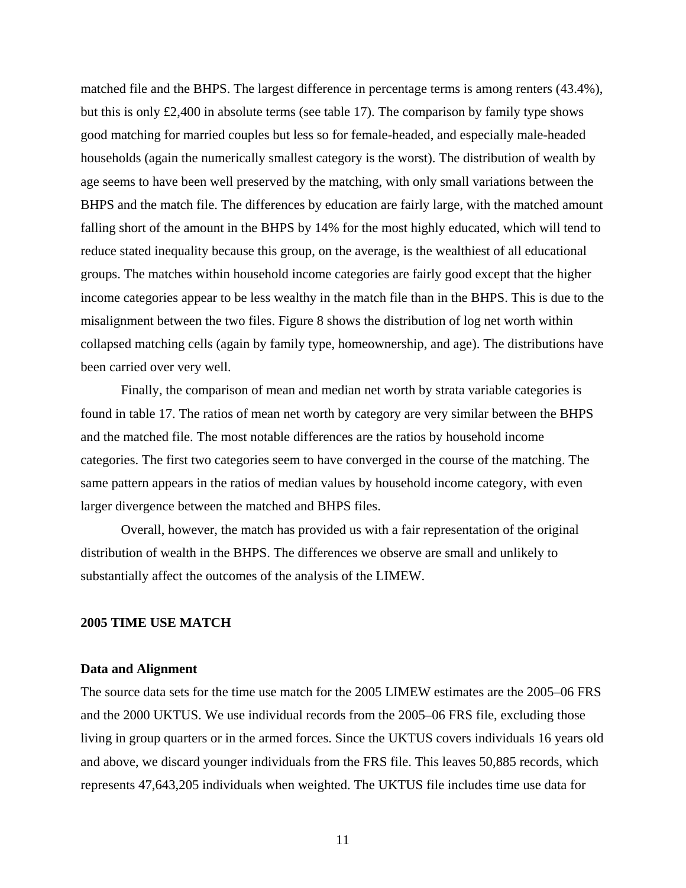matched file and the BHPS. The largest difference in percentage terms is among renters (43.4%), but this is only  $\text{\pounds}2,400$  in absolute terms (see table 17). The comparison by family type shows good matching for married couples but less so for female-headed, and especially male-headed households (again the numerically smallest category is the worst). The distribution of wealth by age seems to have been well preserved by the matching, with only small variations between the BHPS and the match file. The differences by education are fairly large, with the matched amount falling short of the amount in the BHPS by 14% for the most highly educated, which will tend to reduce stated inequality because this group, on the average, is the wealthiest of all educational groups. The matches within household income categories are fairly good except that the higher income categories appear to be less wealthy in the match file than in the BHPS. This is due to the misalignment between the two files. Figure 8 shows the distribution of log net worth within collapsed matching cells (again by family type, homeownership, and age). The distributions have been carried over very well.

Finally, the comparison of mean and median net worth by strata variable categories is found in table 17. The ratios of mean net worth by category are very similar between the BHPS and the matched file. The most notable differences are the ratios by household income categories. The first two categories seem to have converged in the course of the matching. The same pattern appears in the ratios of median values by household income category, with even larger divergence between the matched and BHPS files.

Overall, however, the match has provided us with a fair representation of the original distribution of wealth in the BHPS. The differences we observe are small and unlikely to substantially affect the outcomes of the analysis of the LIMEW.

## **2005 TIME USE MATCH**

#### **Data and Alignment**

The source data sets for the time use match for the 2005 LIMEW estimates are the 2005–06 FRS and the 2000 UKTUS. We use individual records from the 2005–06 FRS file, excluding those living in group quarters or in the armed forces. Since the UKTUS covers individuals 16 years old and above, we discard younger individuals from the FRS file. This leaves 50,885 records, which represents 47,643,205 individuals when weighted. The UKTUS file includes time use data for

11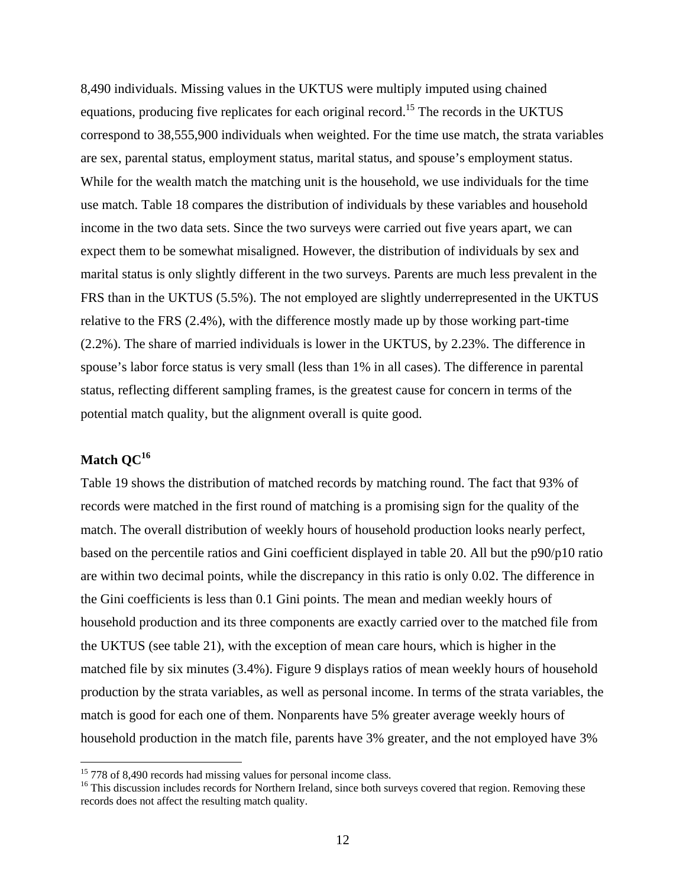8,490 individuals. Missing values in the UKTUS were multiply imputed using chained equations, producing five replicates for each original record.<sup>15</sup> The records in the UKTUS correspond to 38,555,900 individuals when weighted. For the time use match, the strata variables are sex, parental status, employment status, marital status, and spouse's employment status. While for the wealth match the matching unit is the household, we use individuals for the time use match. Table 18 compares the distribution of individuals by these variables and household income in the two data sets. Since the two surveys were carried out five years apart, we can expect them to be somewhat misaligned. However, the distribution of individuals by sex and marital status is only slightly different in the two surveys. Parents are much less prevalent in the FRS than in the UKTUS (5.5%). The not employed are slightly underrepresented in the UKTUS relative to the FRS (2.4%), with the difference mostly made up by those working part-time (2.2%). The share of married individuals is lower in the UKTUS, by 2.23%. The difference in spouse's labor force status is very small (less than 1% in all cases). The difference in parental status, reflecting different sampling frames, is the greatest cause for concern in terms of the potential match quality, but the alignment overall is quite good.

## Match OC<sup>16</sup>

 $\overline{a}$ 

Table 19 shows the distribution of matched records by matching round. The fact that 93% of records were matched in the first round of matching is a promising sign for the quality of the match. The overall distribution of weekly hours of household production looks nearly perfect, based on the percentile ratios and Gini coefficient displayed in table 20. All but the p90/p10 ratio are within two decimal points, while the discrepancy in this ratio is only 0.02. The difference in the Gini coefficients is less than 0.1 Gini points. The mean and median weekly hours of household production and its three components are exactly carried over to the matched file from the UKTUS (see table 21), with the exception of mean care hours, which is higher in the matched file by six minutes (3.4%). Figure 9 displays ratios of mean weekly hours of household production by the strata variables, as well as personal income. In terms of the strata variables, the match is good for each one of them. Nonparents have 5% greater average weekly hours of household production in the match file, parents have 3% greater, and the not employed have 3%

<sup>&</sup>lt;sup>15</sup> 778 of 8,490 records had missing values for personal income class.

<sup>&</sup>lt;sup>16</sup> This discussion includes records for Northern Ireland, since both surveys covered that region. Removing these records does not affect the resulting match quality.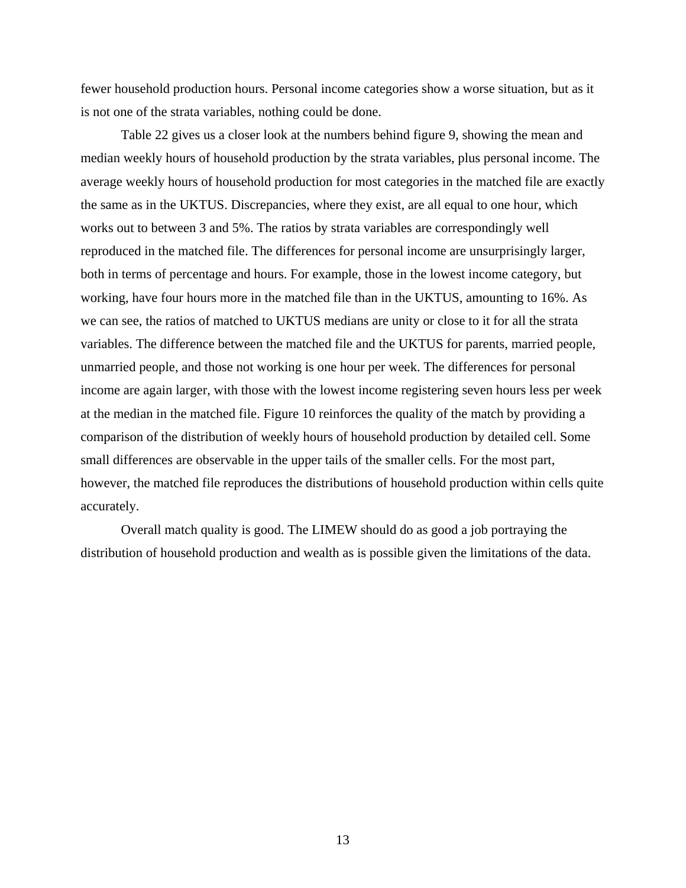fewer household production hours. Personal income categories show a worse situation, but as it is not one of the strata variables, nothing could be done.

Table 22 gives us a closer look at the numbers behind figure 9, showing the mean and median weekly hours of household production by the strata variables, plus personal income. The average weekly hours of household production for most categories in the matched file are exactly the same as in the UKTUS. Discrepancies, where they exist, are all equal to one hour, which works out to between 3 and 5%. The ratios by strata variables are correspondingly well reproduced in the matched file. The differences for personal income are unsurprisingly larger, both in terms of percentage and hours. For example, those in the lowest income category, but working, have four hours more in the matched file than in the UKTUS, amounting to 16%. As we can see, the ratios of matched to UKTUS medians are unity or close to it for all the strata variables. The difference between the matched file and the UKTUS for parents, married people, unmarried people, and those not working is one hour per week. The differences for personal income are again larger, with those with the lowest income registering seven hours less per week at the median in the matched file. Figure 10 reinforces the quality of the match by providing a comparison of the distribution of weekly hours of household production by detailed cell. Some small differences are observable in the upper tails of the smaller cells. For the most part, however, the matched file reproduces the distributions of household production within cells quite accurately.

Overall match quality is good. The LIMEW should do as good a job portraying the distribution of household production and wealth as is possible given the limitations of the data.

13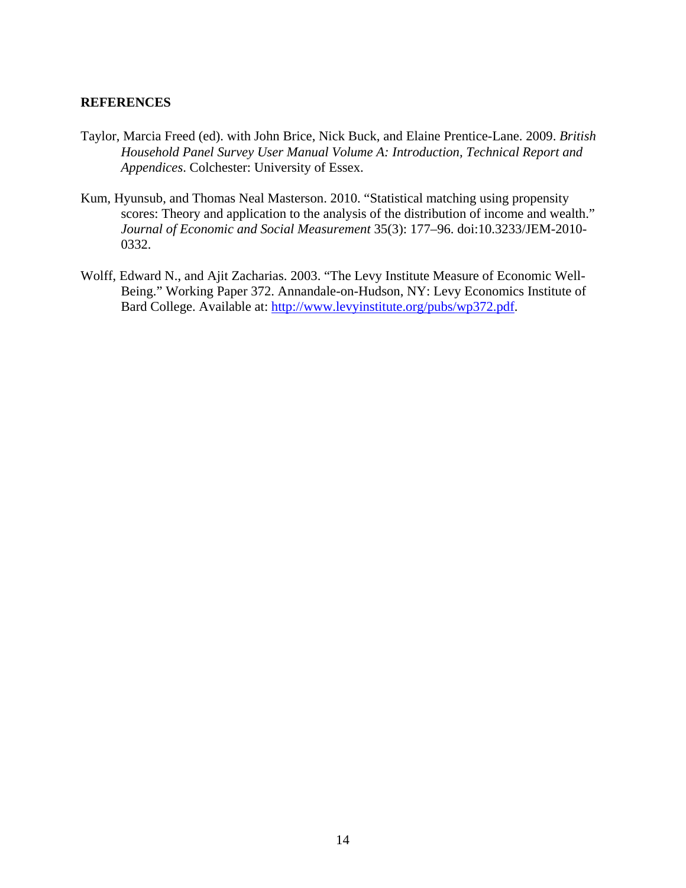## **REFERENCES**

- Taylor, Marcia Freed (ed). with John Brice, Nick Buck, and Elaine Prentice-Lane. 2009. *British Household Panel Survey User Manual Volume A: Introduction, Technical Report and Appendices*. Colchester: University of Essex.
- Kum, Hyunsub, and Thomas Neal Masterson. 2010. "Statistical matching using propensity scores: Theory and application to the analysis of the distribution of income and wealth." *Journal of Economic and Social Measurement* 35(3): 177–96. doi:10.3233/JEM-2010- 0332.
- Wolff, Edward N., and Ajit Zacharias. 2003. "The Levy Institute Measure of Economic Well-Being." Working Paper 372. Annandale-on-Hudson, NY: Levy Economics Institute of Bard College. Available at: http://www.levyinstitute.org/pubs/wp372.pdf.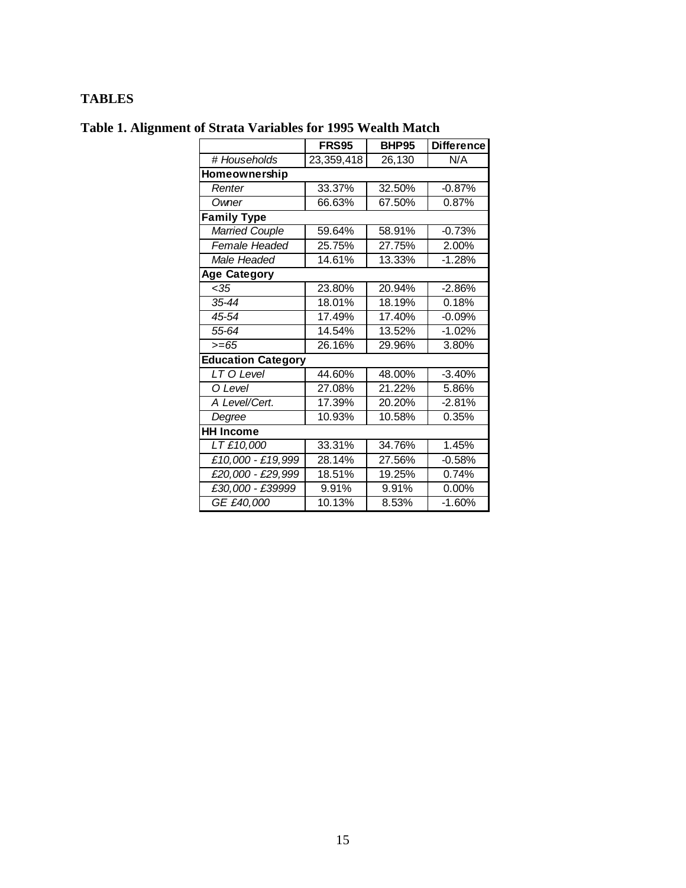# **TABLES**

|                           | <b>FRS95</b> | <b>BHP95</b> | <b>Difference</b> |
|---------------------------|--------------|--------------|-------------------|
| # Households              | 23,359,418   | 26,130       | N/A               |
| Homeownership             |              |              |                   |
| Renter                    | 33.37%       | 32.50%       | $-0.87%$          |
| Owner                     | 66.63%       | 67.50%       | 0.87%             |
| <b>Family Type</b>        |              |              |                   |
| <b>Married Couple</b>     | 59.64%       | 58.91%       | $-0.73%$          |
| Female Headed             | 25.75%       | 27.75%       | 2.00%             |
| Male Headed               | 14.61%       | 13.33%       | $-1.28%$          |
| <b>Age Category</b>       |              |              |                   |
| <35                       | 23.80%       | 20.94%       | $-2.86%$          |
| $35 - 44$                 | 18.01%       | 18.19%       | 0.18%             |
| 45-54                     | 17.49%       | 17.40%       | $-0.09%$          |
| 55-64                     | 14.54%       | 13.52%       | $-1.02%$          |
| $>= 65$                   | 26.16%       | 29.96%       | 3.80%             |
| <b>Education Category</b> |              |              |                   |
| LT O Level                | 44.60%       | 48.00%       | $-3.40%$          |
| O Level                   | 27.08%       | 21.22%       | 5.86%             |
| A Level/Cert.             | 17.39%       | 20.20%       | $-2.81%$          |
| Degree                    | 10.93%       | 10.58%       | 0.35%             |
| <b>HH Income</b>          |              |              |                   |
| LT £10,000                | 33.31%       | 34.76%       | 1.45%             |
| £10,000 - £19,999         | 28.14%       | 27.56%       | $-0.58%$          |
| £20,000 - £29,999         | 18.51%       | 19.25%       | 0.74%             |
| £30,000 - £39999          | 9.91%        | 9.91%        | $0.00\%$          |
| GE £40,000                | 10.13%       | 8.53%        | $-1.60%$          |

# **Table 1. Alignment of Strata Variables for 1995 Wealth Match**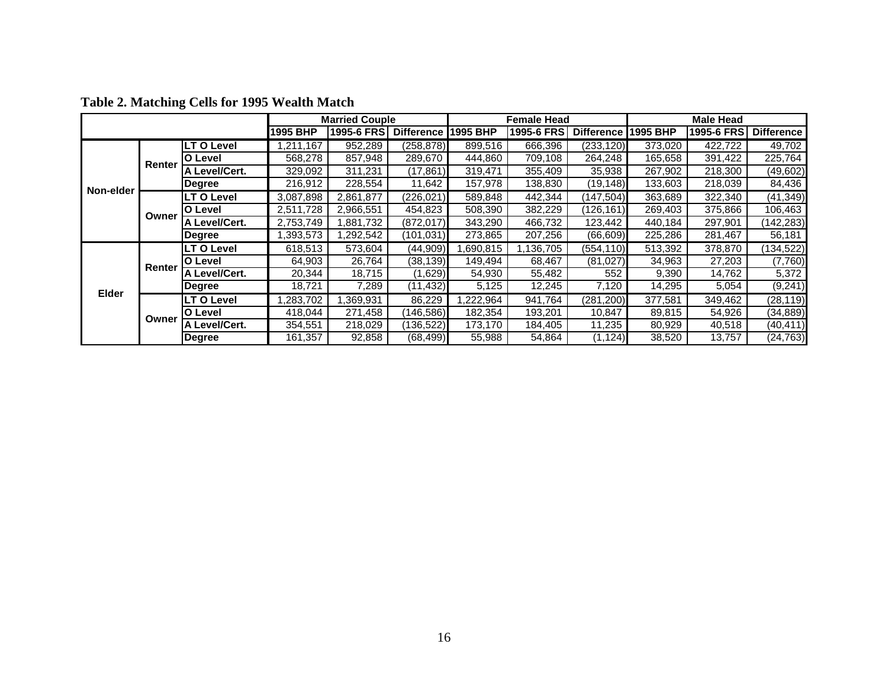|           |        |                   |           | <b>Married Couple</b> |                   |           | Female Head             |                   |          | <b>Male Head</b> |                   |
|-----------|--------|-------------------|-----------|-----------------------|-------------------|-----------|-------------------------|-------------------|----------|------------------|-------------------|
|           |        |                   | 1995 BHP  | 1995-6 FRS            | <b>Difference</b> | l1995 BHP | 1995-6 FRS              | <b>Difference</b> | 1995 BHP | 1995-6 FRS       | <b>Difference</b> |
|           |        | <b>LT O Level</b> | ,211,167  | 952,289               | (258, 878)        | 899,516   | 666,396                 | (233, 120)        | 373,020  | 422,722          | 49,702            |
|           | Renter | <b>O Level</b>    | 568,278   | 857,948               | 289,670           | 444,860   | 709,108                 | 264,248           | 165,658  | 391,422          | 225,764           |
|           |        | A Level/Cert.     | 329,092   | 311,231               | (17, 861)         | 319,471   | 355,409                 | 35,938            | 267,902  | 218,300          | (49, 602)         |
| Non-elder |        | Degree            | 216,912   | 228,554               | 11,642            | 157,978   | 138,830                 | (19, 148)         | 133,603  | 218,039          | 84,436            |
|           |        | <b>LT O Level</b> | 3,087,898 | 2.861.877             | (226, 021)        | 589,848   | 442,344                 | (147, 504)        | 363,689  | 322,340          | (41, 349)         |
|           | Owner  | O Level           | 2,511,728 | 2,966,551             | 454,823           | 508,390   | 382,229                 | (126, 161)        | 269,403  | 375,866          | 106,463           |
|           |        | A Level/Cert.     | 2,753,749 | 1,881,732             | (872, 017)        | 343,290   | 466,732                 | 123,442           | 440,184  | 297,901          | (142, 283)        |
|           |        | Degree            | .393,573  | ,292,542              | (101,031)         | 273,865   | 207,256                 | (66, 609)         | 225,286  | 281,467          | 56,181            |
|           |        | LT O Level        | 618,513   | 573,604               | (44,909)          | ,690,815  | $\overline{1,136}$ ,705 | (554, 110)        | 513,392  | 378,870          | (134, 522)        |
|           | Renter | <b>O Level</b>    | 64,903    | 26,764                | (38, 139)         | 149,494   | 68,467                  | (81, 027)         | 34,963   | 27,203           | (7,760)           |
|           |        | A Level/Cert.     | 20,344    | 18,715                | (1,629)           | 54,930    | 55,482                  | 552               | 9,390    | 14,762           | 5,372             |
| Elder     |        | Degree            | 18,721    | 7,289                 | (11,432)          | 5,125     | 12,245                  | 7,120             | 14,295   | 5,054            | (9,241)           |
|           |        | <b>LT O Level</b> | ,283,702  | .369,931              | 86,229            | ,222,964  | 941.764                 | (281,200)         | 377,581  | 349,462          | (28, 119)         |
|           | Owner  | IO Level          | 418,044   | 271,458               | (146, 586)        | 182,354   | 193,201                 | 10,847            | 89,815   | 54,926           | (34, 889)         |
|           |        | A Level/Cert.     | 354,551   | 218,029               | (136, 522)        | 173,170   | 184,405                 | 11,235            | 80,929   | 40,518           | (40, 411)         |
|           |        | Degree            | 161,357   | 92,858                | (68, 499)         | 55,988    | 54,864                  | (1, 124)          | 38,520   | 13,757           | (24, 763)         |

# **Table 2. Matching Cells for 1995 Wealth Match**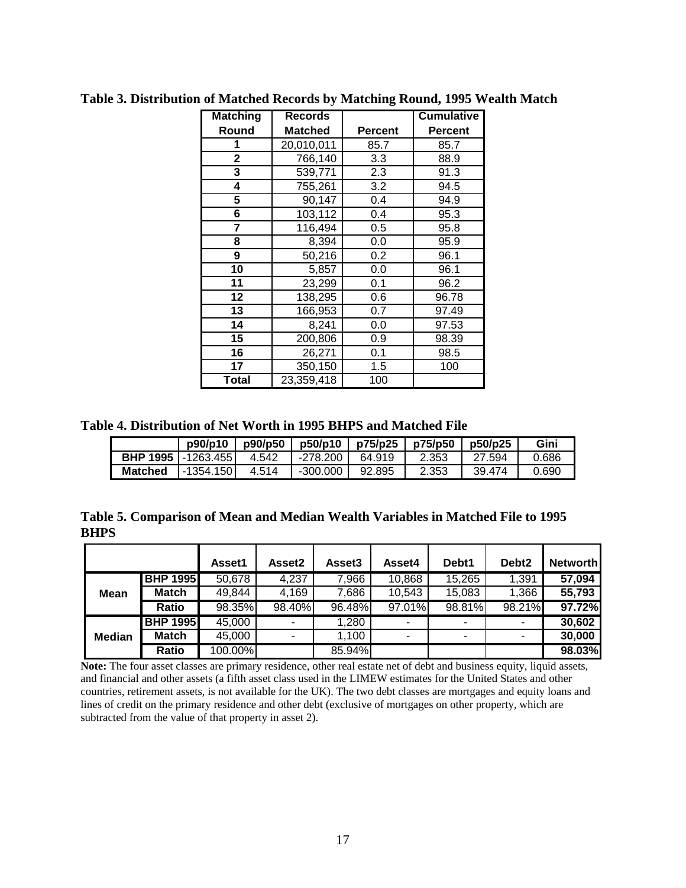| <b>Matching</b> | <b>Records</b> |                | <b>Cumulative</b> |
|-----------------|----------------|----------------|-------------------|
| Round           | <b>Matched</b> | <b>Percent</b> | <b>Percent</b>    |
| 1               | 20,010,011     | 85.7           | 85.7              |
| $\overline{2}$  | 766,140        | 3.3            | 88.9              |
| 3               | 539,771        | 2.3            | 91.3              |
| 4               | 755,261        | 3.2            | 94.5              |
| 5               | 90,147         | 0.4            | 94.9              |
| 6               | 103,112        | 0.4            | 95.3              |
| 7               | 116,494        | 0.5            | 95.8              |
| 8               | 8,394          | 0.0            | 95.9              |
| 9               | 50,216         | 0.2            | 96.1              |
| 10              | 5,857          | 0.0            | 96.1              |
| 11              | 23,299         | 0.1            | 96.2              |
| 12              | 138,295        | 0.6            | 96.78             |
| 13              | 166,953        | 0.7            | 97.49             |
| 14              | 8,241          | 0.0            | 97.53             |
| 15              | 200,806        | 0.9            | 98.39             |
| 16              | 26,271         | 0.1            | 98.5              |
| 17              | 350,150        | 1.5            | 100               |
| Total           | 23,359,418     | 100            |                   |

**Table 3. Distribution of Matched Records by Matching Round, 1995 Wealth Match** 

**Table 4. Distribution of Net Worth in 1995 BHPS and Matched File** 

|                              | p90/p10    | p90/p50 | p50/p10    | p75/p25 | p75/p50 | p50/p25 | Gini  |
|------------------------------|------------|---------|------------|---------|---------|---------|-------|
| <b>BHP 1995   -1263.455 </b> |            | 4.542   | -278.200 I | 64.919  | 2.353   | 27.594  | 0.686 |
| <b>Matched</b>               | -1354.1501 | 4.514   | -300.000   | 92.895  | 2.353   | 39.474  | 0.690 |

| Table 5. Comparison of Mean and Median Wealth Variables in Matched File to 1995 |  |
|---------------------------------------------------------------------------------|--|
| <b>BHPS</b>                                                                     |  |

|               |                 | Asset1  | Asset2 | Asset3 | Asset4 | Debt1  | Debt <sub>2</sub> | <b>Networth</b> |
|---------------|-----------------|---------|--------|--------|--------|--------|-------------------|-----------------|
|               | <b>BHP 1995</b> | 50,678  | 4,237  | 7,966  | 10,868 | 15,265 | 1,391             | 57,094          |
| <b>Mean</b>   | Match           | 49,844  | 4,169  | 7,686  | 10,543 | 15,083 | 1,366             | 55,793          |
|               | <b>Ratio</b>    | 98.35%  | 98.40% | 96.48% | 97.01% | 98.81% | 98.21%            | 97.72%          |
|               | <b>BHP 1995</b> | 45,000  | ٠      | 1,280  |        |        | ۰                 | 30,602          |
| <b>Median</b> | <b>Match</b>    | 45,000  | ۰      | 1,100  |        | ۰      | ۰                 | 30,000          |
|               | Ratio           | 100.00% |        | 85.94% |        |        |                   | 98.03%          |

Note: The four asset classes are primary residence, other real estate net of debt and business equity, liquid assets, and financial and other assets (a fifth asset class used in the LIMEW estimates for the United States and other countries, retirement assets, is not available for the UK). The two debt classes are mortgages and equity loans and lines of credit on the primary residence and other debt (exclusive of mortgages on other property, which are subtracted from the value of that property in asset 2).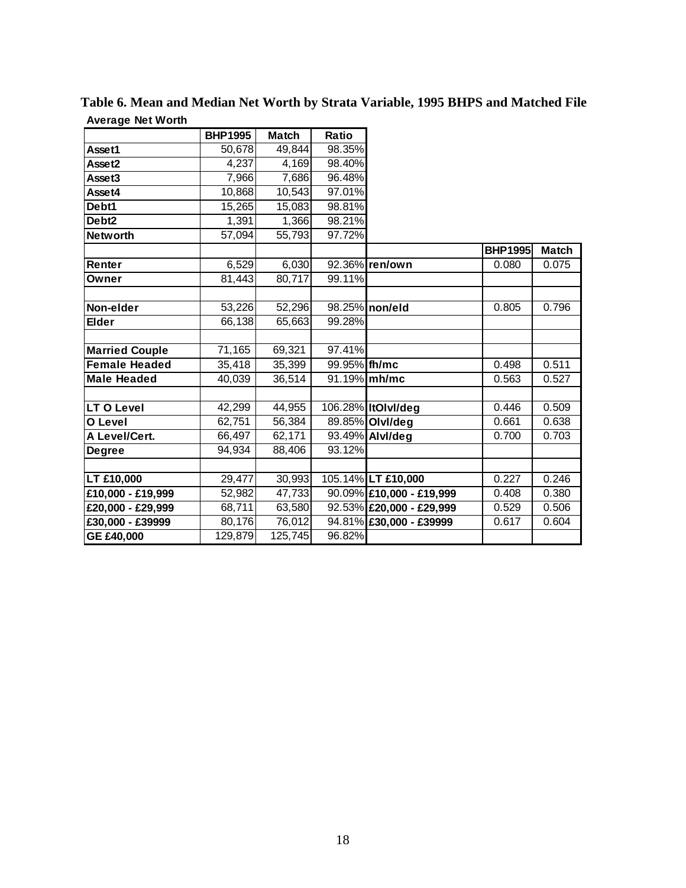|                       | <b>BHP1995</b> | <b>Match</b> | Ratio        |                          |                |              |
|-----------------------|----------------|--------------|--------------|--------------------------|----------------|--------------|
| Asset1                | 50,678         | 49,844       | 98.35%       |                          |                |              |
| Asset2                | 4,237          | 4,169        | 98.40%       |                          |                |              |
| Asset3                | 7,966          | 7,686        | 96.48%       |                          |                |              |
| Asset4                | 10,868         | 10,543       | 97.01%       |                          |                |              |
| Debt1                 | 15,265         | 15,083       | 98.81%       |                          |                |              |
| Debt <sub>2</sub>     | 1,391          | 1,366        | 98.21%       |                          |                |              |
| <b>Networth</b>       | 57,094         | 55,793       | 97.72%       |                          |                |              |
|                       |                |              |              |                          | <b>BHP1995</b> | <b>Match</b> |
| Renter                | 6,529          | 6,030        |              | 92.36% ren/own           | 0.080          | 0.075        |
| Owner                 | 81,443         | 80,717       | 99.11%       |                          |                |              |
|                       |                |              |              |                          |                |              |
| Non-elder             | 53,226         | 52,296       |              | 98.25% non/eld           | 0.805          | 0.796        |
| <b>Elder</b>          | 66,138         | 65,663       | 99.28%       |                          |                |              |
|                       |                |              |              |                          |                |              |
| <b>Married Couple</b> | 71,165         | 69,321       | 97.41%       |                          |                |              |
| <b>Female Headed</b>  | 35,418         | 35,399       | 99.95% fh/mc |                          | 0.498          | 0.511        |
| <b>Male Headed</b>    | 40,039         | 36,514       |              | 91.19% mh/mc             | 0.563          | 0.527        |
|                       |                |              |              |                          |                |              |
| <b>LT O Level</b>     | 42,299         | 44,955       |              | 106.28% ItOlvI/deg       | 0.446          | 0.509        |
| O Level               | 62,751         | 56,384       |              | 89.85% Olvl/deg          | 0.661          | 0.638        |
| A Level/Cert.         | 66,497         | 62,171       |              | 93.49% Alvl/deg          | 0.700          | 0.703        |
| <b>Degree</b>         | 94,934         | 88,406       | 93.12%       |                          |                |              |
|                       |                |              |              |                          |                |              |
| LT £10,000            | 29,477         | 30,993       |              | 105.14% LT £10,000       | 0.227          | 0.246        |
| $E10,000 - E19,999$   | 52,982         | 47,733       |              | 90.09% £10,000 - £19,999 | 0.408          | 0.380        |
| £20,000 - £29,999     | 68,711         | 63,580       |              | 92.53% £20,000 - £29,999 | 0.529          | 0.506        |
| £30,000 - £39999      | 80,176         | 76,012       |              | 94.81% £30,000 - £39999  | 0.617          | 0.604        |
| GE £40,000            | 129,879        | 125,745      | 96.82%       |                          |                |              |

**Table 6. Mean and Median Net Worth by Strata Variable, 1995 BHPS and Matched File Average Net Worth**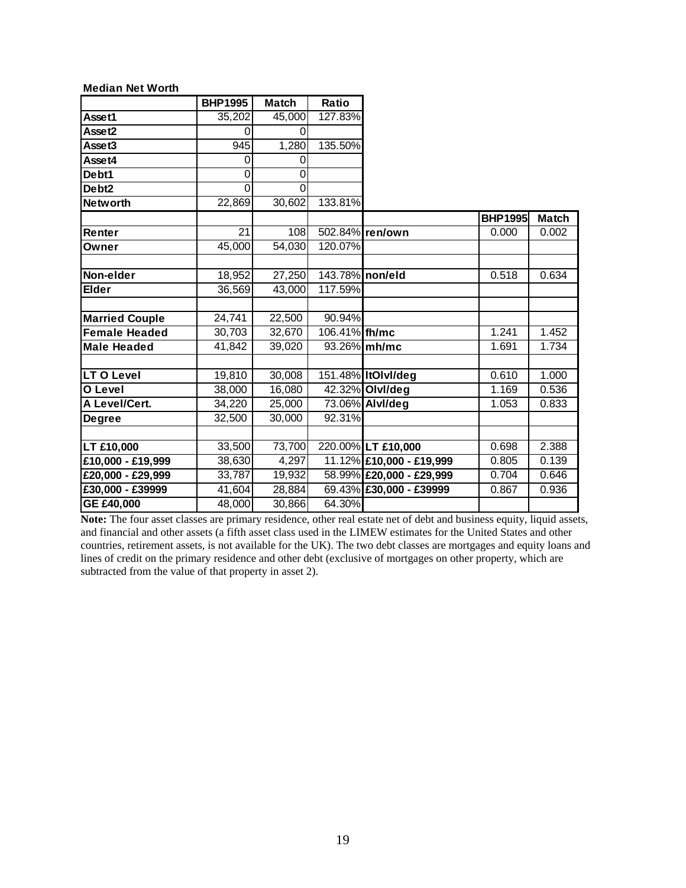| <b>Median Net Worth</b> |                |              |                 |                          |                |              |
|-------------------------|----------------|--------------|-----------------|--------------------------|----------------|--------------|
|                         | <b>BHP1995</b> | <b>Match</b> | Ratio           |                          |                |              |
| Asset1                  | 35,202         | 45,000       | 127.83%         |                          |                |              |
| Asset2                  | 0              | 0            |                 |                          |                |              |
| Asset3                  | 945            | 1,280        | 135.50%         |                          |                |              |
| Asset4                  | 0              | 0            |                 |                          |                |              |
| Debt1                   | 0              | 0            |                 |                          |                |              |
| Debt <sub>2</sub>       | 0              | $\Omega$     |                 |                          |                |              |
| <b>Networth</b>         | 22,869         | 30,602       | 133.81%         |                          |                |              |
|                         |                |              |                 |                          | <b>BHP1995</b> | <b>Match</b> |
| Renter                  | 21             | 108          |                 | 502.84% ren/own          | 0.000          | 0.002        |
| Owner                   | 45,000         | 54,030       | 120.07%         |                          |                |              |
|                         |                |              |                 |                          |                |              |
| Non-elder               | 18,952         | 27,250       | 143.78% non/eld |                          | 0.518          | 0.634        |
| <b>Elder</b>            | 36,569         | 43,000       | 117.59%         |                          |                |              |
|                         |                |              |                 |                          |                |              |
| <b>Married Couple</b>   | 24,741         | 22,500       | 90.94%          |                          |                |              |
| <b>Female Headed</b>    | 30,703         | 32,670       | 106.41% fh/mc   |                          | 1.241          | 1.452        |
| <b>Male Headed</b>      | 41,842         | 39,020       |                 | 93.26% mh/mc             | 1.691          | 1.734        |
|                         |                |              |                 |                          |                |              |
| LT O Level              | 19,810         | 30,008       |                 | 151.48% ItOlvI/deg       | 0.610          | 1.000        |
| O Level                 | 38,000         | 16,080       |                 | 42.32% Olvl/deg          | 1.169          | 0.536        |
| A Level/Cert.           | 34,220         | 25,000       |                 | 73.06% Alvl/deg          | 1.053          | 0.833        |
| <b>Degree</b>           | 32,500         | 30,000       | 92.31%          |                          |                |              |
|                         |                |              |                 |                          |                |              |
| <b>LT £10,000</b>       | 33,500         | 73,700       |                 | 220.00% LT £10,000       | 0.698          | 2.388        |
| £10,000 - £19,999       | 38,630         | 4,297        |                 | 11.12% £10,000 - £19,999 | 0.805          | 0.139        |
| £20,000 - £29,999       | 33,787         | 19,932       |                 | 58.99% £20,000 - £29,999 | 0.704          | 0.646        |
| £30,000 - £39999        | 41,604         | 28,884       |                 | 69.43% £30,000 - £39999  | 0.867          | 0.936        |
| GE £40,000              | 48,000         | 30,866       | 64.30%          |                          |                |              |

Note: The four asset classes are primary residence, other real estate net of debt and business equity, liquid assets, and financial and other assets (a fifth asset class used in the LIMEW estimates for the United States and other countries, retirement assets, is not available for the UK). The two debt classes are mortgages and equity loans and lines of credit on the primary residence and other debt (exclusive of mortgages on other property, which are subtracted from the value of that property in asset 2).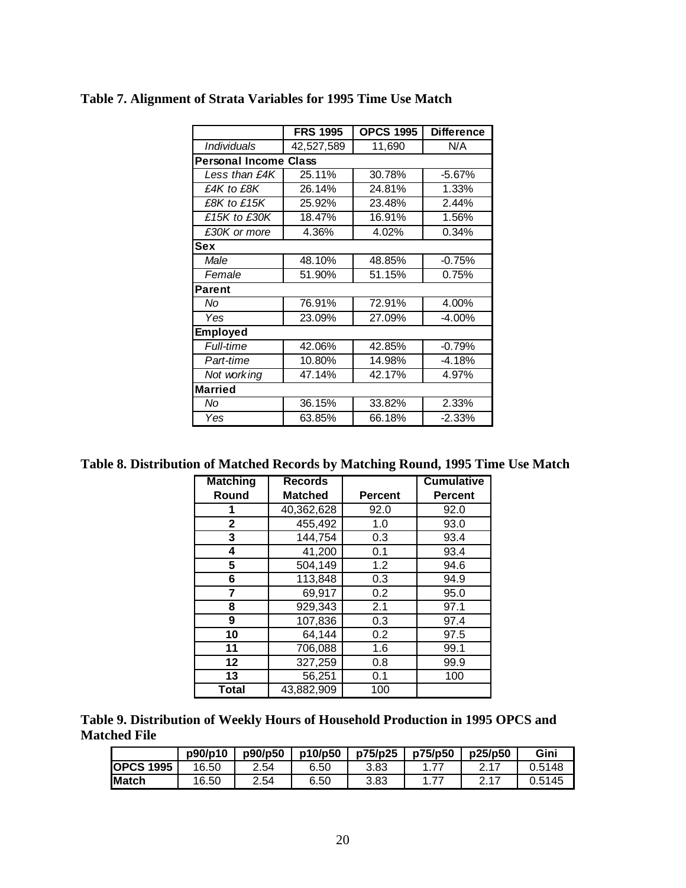|                              | <b>FRS 1995</b> | <b>OPCS 1995</b> | <b>Difference</b> |
|------------------------------|-----------------|------------------|-------------------|
| <b>Individuals</b>           | 42,527,589      | 11,690           | N/A               |
| <b>Personal Income Class</b> |                 |                  |                   |
| Less than £4K                | 25.11%          | 30.78%           | $-5.67%$          |
| £4K to £8K                   | 26.14%          | 24.81%           | 1.33%             |
| £8K to £15K                  | 25.92%          | 23.48%           | 2.44%             |
| £15K to £30K                 | 18.47%          | 16.91%           | 1.56%             |
| £30K or more                 | 4.36%           | 4.02%            | 0.34%             |
| Sex                          |                 |                  |                   |
| Male                         | 48.10%          | 48.85%           | $-0.75%$          |
| Female                       | 51.90%          | 51.15%           | 0.75%             |
| <b>Parent</b>                |                 |                  |                   |
| No                           | 76.91%          | 72.91%           | 4.00%             |
| Yes                          | 23.09%          | 27.09%           | $-4.00\%$         |
| <b>Employed</b>              |                 |                  |                   |
| Full-time                    | 42.06%          | 42.85%           | $-0.79%$          |
| Part-time                    | 10.80%          | 14.98%           | $-4.18%$          |
| Not working                  | 47.14%          | 42.17%           | 4.97%             |
| <b>Married</b>               |                 |                  |                   |
| No                           | 36.15%          | 33.82%           | 2.33%             |
| Yes                          | 63.85%          | 66.18%           | $-2.33%$          |

# **Table 7. Alignment of Strata Variables for 1995 Time Use Match**

**Table 8. Distribution of Matched Records by Matching Round, 1995 Time Use Match** 

| <b>Matching</b> | <b>Records</b> |                | <b>Cumulative</b> |
|-----------------|----------------|----------------|-------------------|
| Round           | <b>Matched</b> | <b>Percent</b> | <b>Percent</b>    |
| 1               | 40,362,628     | 92.0           | 92.0              |
| $\mathbf{2}$    | 455,492        | 1.0            | 93.0              |
| 3               | 144,754        | 0.3            | 93.4              |
| 4               | 41,200         | 0.1            | 93.4              |
| 5               | 504,149        | 1.2            | 94.6              |
| 6               | 113,848        | 0.3            | 94.9              |
| 7               | 69,917         | 0.2            | 95.0              |
| 8               | 929,343        | 2.1            | 97.1              |
| 9               | 107,836        | 0.3            | 97.4              |
| 10              | 64,144         | 0.2            | 97.5              |
| 11              | 706,088        | 1.6            | 99.1              |
| 12              | 327,259        | 0.8            | 99.9              |
| 13              | 56,251         | 0.1            | 100               |
| Total           | 43,882,909     | 100            |                   |

**Table 9. Distribution of Weekly Hours of Household Production in 1995 OPCS and Matched File** 

|                  | p90/p10 | p90/p50 | p10/p50 | p75/p25 | p75/p50 | p25/p50 | Gini   |
|------------------|---------|---------|---------|---------|---------|---------|--------|
| <b>OPCS 1995</b> | 16.50   | 2.54    | 6.50    | 3.83    |         |         | 0.5148 |
| <b>Match</b>     | 16.50   | 2.54    | 6.50    | 3.83    |         | 0.17    | 0.5145 |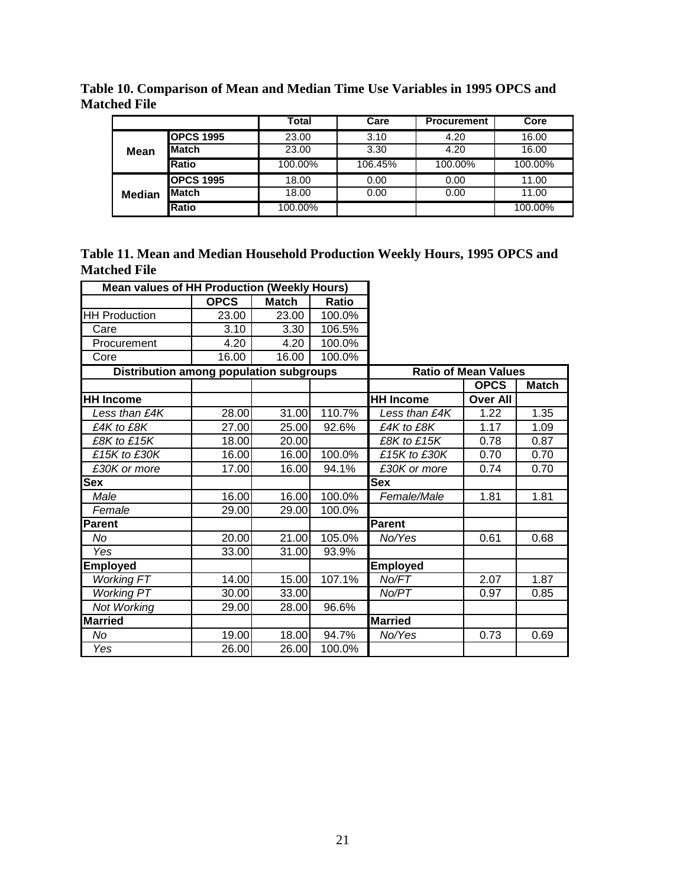|               |                  | Total   | Care    | <b>Procurement</b> | Core    |
|---------------|------------------|---------|---------|--------------------|---------|
|               | <b>OPCS 1995</b> | 23.00   | 3.10    | 4.20               | 16.00   |
| Mean          | <b>Match</b>     | 23.00   | 3.30    | 4.20               | 16.00   |
|               | Ratio            | 100.00% | 106.45% | 100.00%            | 100.00% |
|               | <b>OPCS 1995</b> | 18.00   | 0.00    | 0.00               | 11.00   |
| <b>Median</b> | Match            | 18.00   | 0.00    | 0.00               | 11.00   |
|               | Ratio            | 100.00% |         |                    | 100.00% |

**Table 10. Comparison of Mean and Median Time Use Variables in 1995 OPCS and Matched File** 

| Table 11. Mean and Median Household Production Weekly Hours, 1995 OPCS and |  |
|----------------------------------------------------------------------------|--|
| <b>Matched File</b>                                                        |  |

| <b>Mean values of HH Production (Weekly Hours)</b> |             |              |              |                  |                             |              |
|----------------------------------------------------|-------------|--------------|--------------|------------------|-----------------------------|--------------|
|                                                    | <b>OPCS</b> | <b>Match</b> | <b>Ratio</b> |                  |                             |              |
| <b>HH Production</b>                               | 23.00       | 23.00        | 100.0%       |                  |                             |              |
| Care                                               | 3.10        | 3.30         | 106.5%       |                  |                             |              |
| Procurement                                        | 4.20        | 4.20         | 100.0%       |                  |                             |              |
| Core                                               | 16.00       | 16.00        | 100.0%       |                  |                             |              |
| <b>Distribution among population subgroups</b>     |             |              |              |                  | <b>Ratio of Mean Values</b> |              |
|                                                    |             |              |              |                  | <b>OPCS</b>                 | <b>Match</b> |
| <b>HH Income</b>                                   |             |              |              | <b>HH Income</b> | <b>Over All</b>             |              |
| Less than £4K                                      | 28.00       | 31.00        | 110.7%       | Less than £4K    | 1.22                        | 1.35         |
| £4K to £8K                                         | 27.00       | 25.00        | 92.6%        | £4K to £8K       | 1.17                        | 1.09         |
| £8K to £15K                                        | 18.00       | 20.00        |              | £8K to £15K      | 0.78                        | 0.87         |
| £15K to £30K                                       | 16.00       | 16.00        | 100.0%       | £15K to £30K     | 0.70                        | 0.70         |
| £30K or more                                       | 17.00       | 16.00        | 94.1%        | £30K or more     | 0.74                        | 0.70         |
| <b>Sex</b>                                         |             |              |              | <b>Sex</b>       |                             |              |
| Male                                               | 16.00       | 16.00        | 100.0%       | Female/Male      | 1.81                        | 1.81         |
| Female                                             | 29.00       | 29.00        | 100.0%       |                  |                             |              |
| <b>Parent</b>                                      |             |              |              | Parent           |                             |              |
| No                                                 | 20.00       | 21.00        | 105.0%       | No/Yes           | 0.61                        | 0.68         |
| Yes                                                | 33.00       | 31.00        | 93.9%        |                  |                             |              |
| <b>Employed</b>                                    |             |              |              | <b>Employed</b>  |                             |              |
| <b>Working FT</b>                                  | 14.00       | 15.00        | 107.1%       | No/FT            | 2.07                        | 1.87         |
| <b>Working PT</b>                                  | 30.00       | 33.00        |              | No/PT            | 0.97                        | 0.85         |
| Not Working                                        | 29.00       | 28.00        | 96.6%        |                  |                             |              |
| <b>Married</b>                                     |             |              |              | <b>Married</b>   |                             |              |
| No                                                 | 19.00       | 18.00        | 94.7%        | No/Yes           | 0.73                        | 0.69         |
| Yes                                                | 26.00       | 26.00        | 100.0%       |                  |                             |              |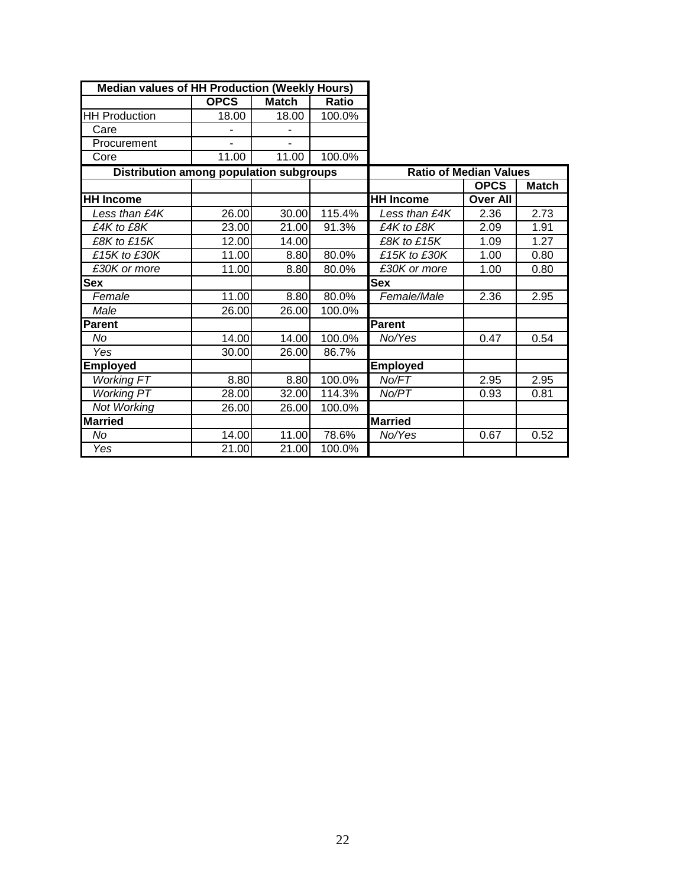| <b>Median values of HH Production (Weekly Hours)</b> |             |              |        |                               |                 |              |
|------------------------------------------------------|-------------|--------------|--------|-------------------------------|-----------------|--------------|
|                                                      | <b>OPCS</b> | <b>Match</b> | Ratio  |                               |                 |              |
| <b>HH Production</b>                                 | 18.00       | 18.00        | 100.0% |                               |                 |              |
| Care                                                 |             |              |        |                               |                 |              |
| Procurement                                          |             | ۰            |        |                               |                 |              |
| Core                                                 | 11.00       | 11.00        | 100.0% |                               |                 |              |
| <b>Distribution among population subgroups</b>       |             |              |        | <b>Ratio of Median Values</b> |                 |              |
|                                                      |             |              |        |                               | <b>OPCS</b>     | <b>Match</b> |
| <b>HH Income</b>                                     |             |              |        | <b>HH Income</b>              | <b>Over All</b> |              |
| Less than £4K                                        | 26.00       | 30.00        | 115.4% | Less than £4K                 | 2.36            | 2.73         |
| £4K to £8K                                           | 23.00       | 21.00        | 91.3%  | £4K to £8K                    | 2.09            | 1.91         |
| £8K to £15K                                          | 12.00       | 14.00        |        | £8K to £15K                   | 1.09            | 1.27         |
| £15K to £30K                                         | 11.00       | 8.80         | 80.0%  | £15K to £30K                  | 1.00            | 0.80         |
| £30K or more                                         | 11.00       | 8.80         | 80.0%  | £30K or more                  | 1.00            | 0.80         |
| <b>Sex</b>                                           |             |              |        | <b>Sex</b>                    |                 |              |
| Female                                               | 11.00       | 8.80         | 80.0%  | Female/Male                   | 2.36            | 2.95         |
| Male                                                 | 26.00       | 26.00        | 100.0% |                               |                 |              |
| <b>Parent</b>                                        |             |              |        | Parent                        |                 |              |
| No                                                   | 14.00       | 14.00        | 100.0% | No/Yes                        | 0.47            | 0.54         |
| Yes                                                  | 30.00       | 26.00        | 86.7%  |                               |                 |              |
| <b>Employed</b>                                      |             |              |        | <b>Employed</b>               |                 |              |
| <b>Working FT</b>                                    | 8.80        | 8.80         | 100.0% | No/FT                         | 2.95            | 2.95         |
| <b>Working PT</b>                                    | 28.00       | 32.00        | 114.3% | No/PT                         | 0.93            | 0.81         |
| Not Working                                          | 26.00       | 26.00        | 100.0% |                               |                 |              |
| <b>Married</b>                                       |             |              |        | <b>Married</b>                |                 |              |
| No                                                   | 14.00       | 11.00        | 78.6%  | No/Yes                        | 0.67            | 0.52         |
| Yes                                                  | 21.00       | 21.00        | 100.0% |                               |                 |              |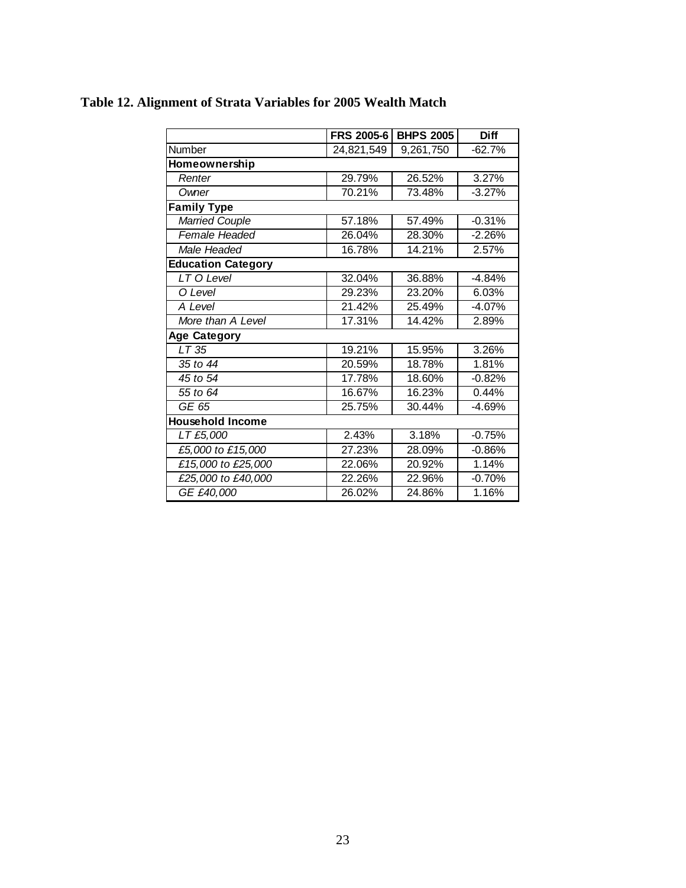|                           | <b>FRS 2005-6</b> | <b>BHPS 2005</b> | <b>Diff</b> |
|---------------------------|-------------------|------------------|-------------|
| Number                    | 24,821,549        | 9,261,750        | $-62.7%$    |
| Homeownership             |                   |                  |             |
| Renter                    | 29.79%            | 26.52%           | 3.27%       |
| Owner                     | 70.21%            | 73.48%           | $-3.27%$    |
| <b>Family Type</b>        |                   |                  |             |
| <b>Married Couple</b>     | 57.18%            | 57.49%           | $-0.31%$    |
| Female Headed             | 26.04%            | 28.30%           | $-2.26%$    |
| Male Headed               | 16.78%            | 14.21%           | 2.57%       |
| <b>Education Category</b> |                   |                  |             |
| LT O Level                | 32.04%            | 36.88%           | $-4.84%$    |
| O Level                   | 29.23%            | 23.20%           | 6.03%       |
| A Level                   | 21.42%            | 25.49%           | $-4.07%$    |
| More than A Level         | 17.31%            | 14.42%           | 2.89%       |
| <b>Age Category</b>       |                   |                  |             |
| LT35                      | 19.21%            | 15.95%           | 3.26%       |
| 35 to 44                  | 20.59%            | 18.78%           | 1.81%       |
| 45 to 54                  | 17.78%            | 18.60%           | $-0.82%$    |
| 55 to 64                  | 16.67%            | 16.23%           | 0.44%       |
| GE 65                     | 25.75%            | 30.44%           | $-4.69%$    |
| <b>Household Income</b>   |                   |                  |             |
| LT £5,000                 | 2.43%             | 3.18%            | $-0.75%$    |
| £5,000 to £15,000         | 27.23%            | 28.09%           | $-0.86%$    |
| £15,000 to £25,000        | 22.06%            | 20.92%           | 1.14%       |
| £25,000 to £40,000        | 22.26%            | 22.96%           | $-0.70%$    |
| GE £40,000                | 26.02%            | 24.86%           | 1.16%       |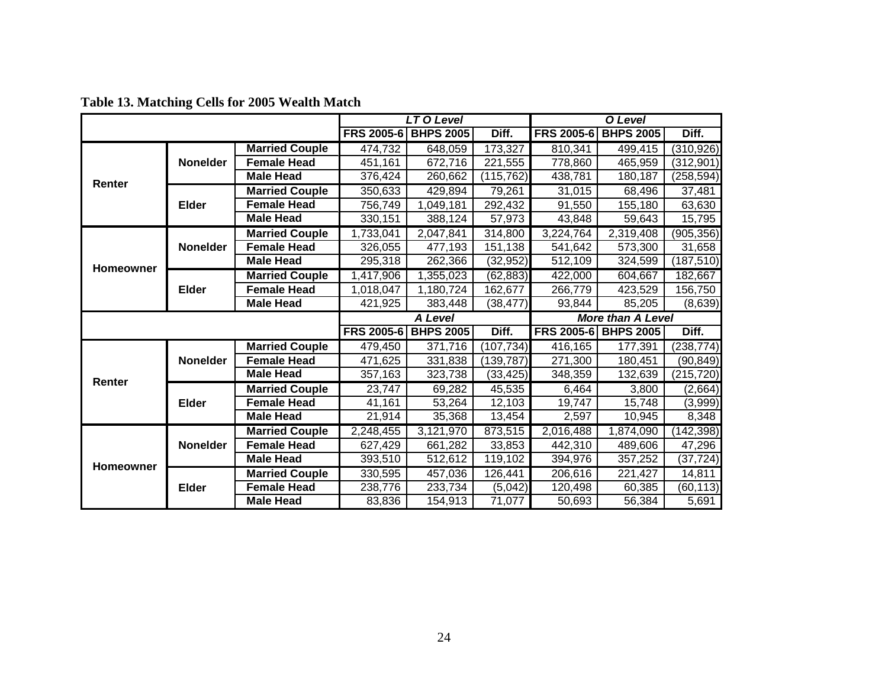|              |                 |                       | LT O Level           |                  | O Level    |                   |                          |            |
|--------------|-----------------|-----------------------|----------------------|------------------|------------|-------------------|--------------------------|------------|
|              |                 |                       | <b>FRS 2005-6</b>    | <b>BHPS 2005</b> | Diff.      | <b>FRS 2005-6</b> | <b>BHPS 2005</b>         | Diff.      |
|              |                 | <b>Married Couple</b> | 474,732              | 648,059          | 173,327    | 810,341           | 499,415                  | (310, 926) |
|              | <b>Nonelder</b> | <b>Female Head</b>    | $\overline{451,161}$ | 672,716          | 221,555    | 778,860           | 465,959                  | (312, 901) |
| Renter       |                 | <b>Male Head</b>      | 376,424              | 260,662          | (115, 762) | 438,781           | 180,187                  | (258, 594) |
|              |                 | <b>Married Couple</b> | 350,633              | 429,894          | 79,261     | 31,015            | 68,496                   | 37,481     |
|              | <b>Elder</b>    | <b>Female Head</b>    | 756,749              | 1,049,181        | 292,432    | 91,550            | 155,180                  | 63,630     |
|              |                 | <b>Male Head</b>      | 330,151              | 388,124          | 57,973     | 43,848            | 59,643                   | 15,795     |
|              |                 | <b>Married Couple</b> | 1,733,041            | 2,047,841        | 314,800    | 3,224,764         | 2,319,408                | (905, 356) |
|              | <b>Nonelder</b> | <b>Female Head</b>    | 326,055              | 477,193          | 151,138    | 541,642           | 573,300                  | 31,658     |
| Homeowner    |                 | <b>Male Head</b>      | 295,318              | 262,366          | (32, 952)  | 512,109           | 324,599                  | (187, 510) |
|              |                 | <b>Married Couple</b> | 1,417,906            | 1,355,023        | (62, 883)  | 422,000           | 604,667                  | 182,667    |
| <b>Elder</b> |                 | <b>Female Head</b>    | 1,018,047            | 1,180,724        | 162,677    | 266,779           | 423,529                  | 156,750    |
|              |                 | <b>Male Head</b>      | 421,925              | 383,448          | (38, 477)  | 93,844            | 85,205                   | (8,639)    |
|              |                 |                       |                      |                  |            |                   |                          |            |
|              |                 |                       |                      | <b>A Level</b>   |            |                   | <b>More than A Level</b> |            |
|              |                 |                       | <b>FRS 2005-6</b>    | <b>BHPS 2005</b> | Diff.      |                   | FRS 2005-6 BHPS 2005     | Diff.      |
|              |                 | <b>Married Couple</b> | 479,450              | 371,716          | (107, 734) | 416,165           | 177,391                  | (238, 774) |
|              | <b>Nonelder</b> | <b>Female Head</b>    | 471,625              | 331,838          | (139, 787) | 271,300           | 180,451                  | (90, 849)  |
|              |                 | <b>Male Head</b>      | 357,163              | 323,738          | (33, 425)  | 348,359           | 132,639                  | (215, 720) |
| Renter       |                 | <b>Married Couple</b> | 23,747               | 69,282           | 45,535     | 6,464             | 3,800                    | (2,664)    |
|              | <b>Elder</b>    | <b>Female Head</b>    | 41,161               | 53,264           | 12,103     | 19,747            | 15,748                   | (3,999)    |
|              |                 | <b>Male Head</b>      | 21,914               | 35,368           | 13,454     | 2,597             | 10,945                   | 8,348      |
|              |                 | <b>Married Couple</b> | 2,248,455            | 3,121,970        | 873,515    | 2,016,488         | 1,874,090                | (142, 398) |
|              | <b>Nonelder</b> | <b>Female Head</b>    | 627,429              | 661,282          | 33,853     | 442,310           | 489,606                  | 47,296     |
|              |                 | <b>Male Head</b>      | 393,510              | 512,612          | 119,102    | 394,976           | 357,252                  | (37, 724)  |
| Homeowner    |                 | <b>Married Couple</b> | 330,595              | 457,036          | 126,441    | 206,616           | 221,427                  | 14,811     |
|              | <b>Elder</b>    | <b>Female Head</b>    | 238,776              | 233,734          | (5,042)    | 120,498           | 60,385                   | (60, 113)  |

**Table 13. Matching Cells for 2005 Wealth Match**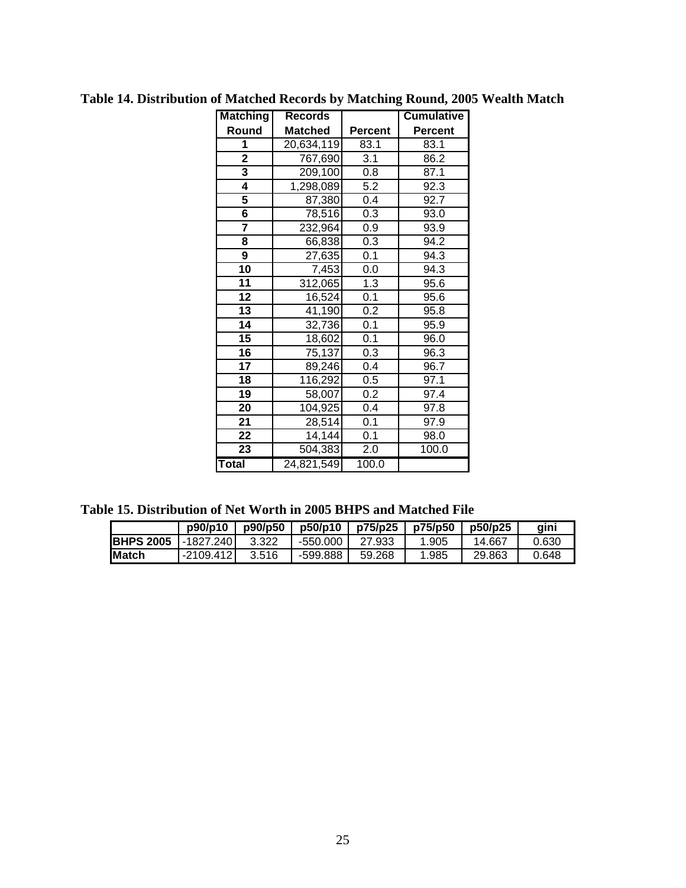| <b>Matching</b>         | <b>Records</b> |                | <b>Cumulative</b> |
|-------------------------|----------------|----------------|-------------------|
| Round                   | <b>Matched</b> | <b>Percent</b> | <b>Percent</b>    |
| 1                       | 20,634,119     | 83.1           | 83.1              |
| $\overline{\mathbf{2}}$ | 767,690        | 3.1            | 86.2              |
| 3                       | 209,100        | 0.8            | 87.1              |
| 4                       | 1,298,089      | 5.2            | 92.3              |
| 5                       | 87,380         | 0.4            | 92.7              |
| 6                       | 78,516         | 0.3            | 93.0              |
| $\overline{\mathbf{7}}$ | 232,964        | 0.9            | 93.9              |
| 8                       | 66,838         | 0.3            | 94.2              |
| 9                       | 27,635         | 0.1            | 94.3              |
| $\overline{10}$         | 7,453          | 0.0            | 94.3              |
| 11                      | 312,065        | 1.3            | 95.6              |
| 12                      | 16,524         | 0.1            | 95.6              |
| 13                      | 41,190         | 0.2            | 95.8              |
| 14                      | 32,736         | 0.1            | 95.9              |
| 15                      | 18,602         | 0.1            | 96.0              |
| 16                      | 75,137         | 0.3            | 96.3              |
| 17                      | 89,246         | 0.4            | 96.7              |
| 18                      | 116,292        | 0.5            | 97.1              |
| 19                      | 58,007         | 0.2            | 97.4              |
| 20                      | 104,925        | 0.4            | 97.8              |
| 21                      | 28,514         | 0.1            | 97.9              |
| $\overline{22}$         | 14,144         | 0.1            | 98.0              |
| 23                      | 504,383        | 2.0            | 100.0             |
| Total                   | 24,821,549     | 100.0          |                   |

**Table 14. Distribution of Matched Records by Matching Round, 2005 Wealth Match** 

**Table 15. Distribution of Net Worth in 2005 BHPS and Matched File** 

|                   | p90/p10     | p90/p50 | p50/p10  | p75/p25 l | p75/p50 | p50/p25 | aini  |
|-------------------|-------------|---------|----------|-----------|---------|---------|-------|
| <b>IBHPS 2005</b> | $-1827.240$ | 3.322   | -550.000 | 27.933    | 1.905   | 14.667  | 0.630 |
| <b>IMatch</b>     | -2109.412   | 3.516   | -599.888 | 59.268    | 1.985   | 29.863  | 0.648 |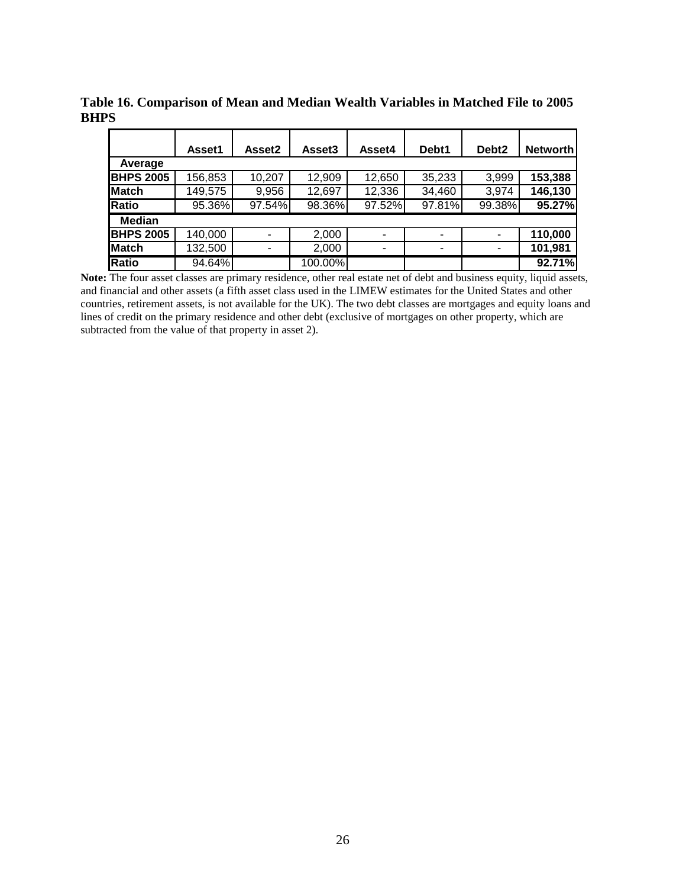|                  | Asset1  | Asset2 | Asset <sub>3</sub> | Asset4 | Debt1  | Debt <sub>2</sub> | <b>Networth</b> |
|------------------|---------|--------|--------------------|--------|--------|-------------------|-----------------|
| Average          |         |        |                    |        |        |                   |                 |
| <b>BHPS 2005</b> | 156,853 | 10,207 | 12,909             | 12,650 | 35,233 | 3,999             | 153,388         |
| Match            | 149,575 | 9,956  | 12,697             | 12,336 | 34,460 | 3,974             | 146,130         |
| <b>Ratio</b>     | 95.36%  | 97.54% | 98.36%             | 97.52% | 97.81% | 99.38%            | 95.27%          |
| <b>Median</b>    |         |        |                    |        |        |                   |                 |
| <b>BHPS 2005</b> | 140,000 |        | 2,000              |        |        | ۰                 | 110,000         |
| Match            | 132,500 |        | 2,000              |        | ۰      | ۰                 | 101,981         |
| <b>Ratio</b>     | 94.64%  |        | 100.00%            |        |        |                   | 92.71%          |

**Table 16. Comparison of Mean and Median Wealth Variables in Matched File to 2005 BHPS** 

**Note:** The four asset classes are primary residence, other real estate net of debt and business equity, liquid assets, and financial and other assets (a fifth asset class used in the LIMEW estimates for the United States and other countries, retirement assets, is not available for the UK). The two debt classes are mortgages and equity loans and lines of credit on the primary residence and other debt (exclusive of mortgages on other property, which are subtracted from the value of that property in asset 2).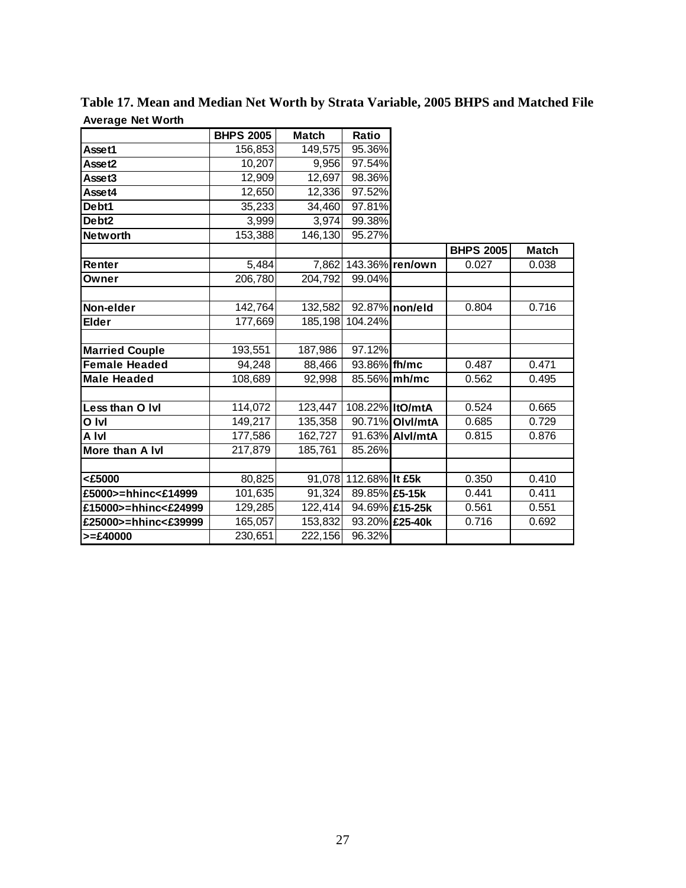|                       | <b>BHPS 2005</b> | <b>Match</b> | Ratio                 |                 |                  |              |
|-----------------------|------------------|--------------|-----------------------|-----------------|------------------|--------------|
| Asset1                | 156,853          | 149,575      | 95.36%                |                 |                  |              |
| Asset2                | 10,207           | 9,956        | 97.54%                |                 |                  |              |
| Asset3                | 12,909           | 12,697       | 98.36%                |                 |                  |              |
| Asset4                | 12,650           | 12,336       | 97.52%                |                 |                  |              |
| Debt1                 | 35,233           | 34,460       | 97.81%                |                 |                  |              |
| Debt <sub>2</sub>     | 3,999            | 3,974        | 99.38%                |                 |                  |              |
| <b>Networth</b>       | 153,388          | 146,130      | 95.27%                |                 |                  |              |
|                       |                  |              |                       |                 | <b>BHPS 2005</b> | <b>Match</b> |
| Renter                | 5,484            |              | 7,862 143.36% ren/own |                 | 0.027            | 0.038        |
| Owner                 | 206,780          | 204,792      | 99.04%                |                 |                  |              |
|                       |                  |              |                       |                 |                  |              |
| Non-elder             | 142,764          | 132,582      |                       | 92.87% non/eld  | 0.804            | 0.716        |
| <b>Elder</b>          | 177,669          |              | 185,198 104.24%       |                 |                  |              |
|                       |                  |              |                       |                 |                  |              |
| <b>Married Couple</b> | 193,551          | 187,986      | 97.12%                |                 |                  |              |
| <b>Female Headed</b>  | 94,248           | 88,466       | 93.86% fh/mc          |                 | 0.487            | 0.471        |
| <b>Male Headed</b>    | 108,689          | 92,998       |                       | 85.56% mh/mc    | 0.562            | 0.495        |
|                       |                  |              |                       |                 |                  |              |
| Less than O Ivl       | 114,072          | 123,447      | 108.22% ItO/mtA       |                 | 0.524            | 0.665        |
| O Ivl                 | 149,217          | 135,358      |                       | 90.71% Olvl/mtA | 0.685            | 0.729        |
| A Ivl                 | 177,586          | 162,727      |                       | 91.63% Alvl/mtA | 0.815            | 0.876        |
| More than A Ivi       | 217,879          | 185,761      | 85.26%                |                 |                  |              |
|                       |                  |              |                       |                 |                  |              |
| <£5000                | 80,825           |              | 91,078 112.68% It £5k |                 | 0.350            | 0.410        |
| £5000>=hhinc<£14999   | 101,635          | 91,324       | 89.85% £5-15k         |                 | 0.441            | 0.411        |
| £15000>=hhinc<£24999  | 129,285          | 122,414      |                       | 94.69% £15-25k  | 0.561            | 0.551        |
| £25000>=hhinc<£39999  | 165,057          | 153,832      |                       | 93.20% £25-40k  | 0.716            | 0.692        |
| $>= £40000$           | 230,651          | 222,156      | 96.32%                |                 |                  |              |

**Table 17. Mean and Median Net Worth by Strata Variable, 2005 BHPS and Matched File Average Net Worth**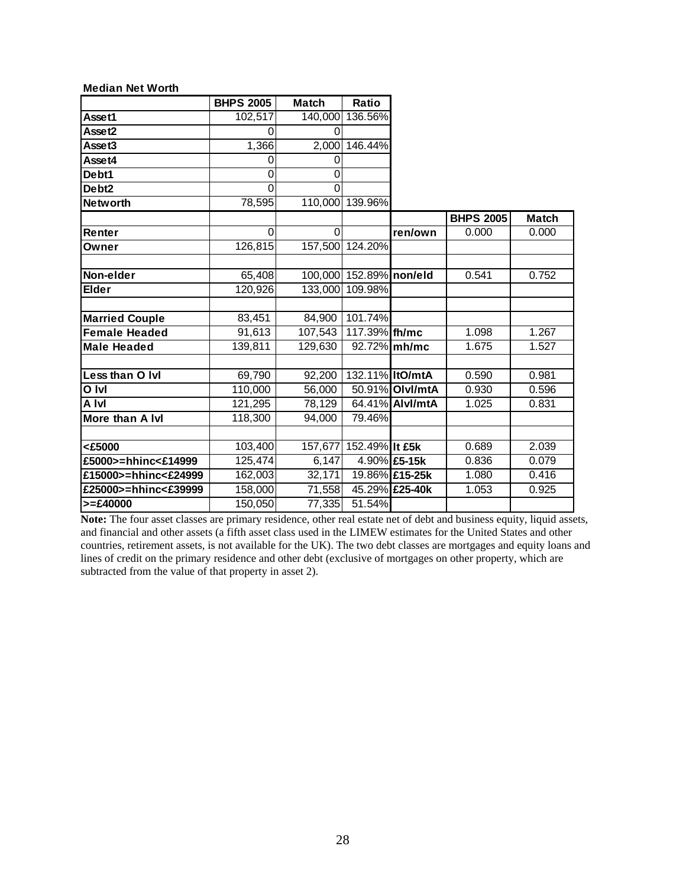| <b>Median Net Worth</b> |                  |              |                         |                 |                  |              |
|-------------------------|------------------|--------------|-------------------------|-----------------|------------------|--------------|
|                         | <b>BHPS 2005</b> | <b>Match</b> | Ratio                   |                 |                  |              |
| Asset1                  | 102,517          | 140,000      | 136.56%                 |                 |                  |              |
| Asset2                  | $\Omega$         | $\Omega$     |                         |                 |                  |              |
| Asset3                  | 1,366            | 2,000        | 146.44%                 |                 |                  |              |
| Asset4                  | 0                | 0            |                         |                 |                  |              |
| Debt1                   | $\Omega$         | 0            |                         |                 |                  |              |
| Debt <sub>2</sub>       | $\Omega$         | $\Omega$     |                         |                 |                  |              |
| <b>Networth</b>         | 78,595           |              | 110,000 139.96%         |                 |                  |              |
|                         |                  |              |                         |                 | <b>BHPS 2005</b> | <b>Match</b> |
| Renter                  | $\Omega$         | $\Omega$     |                         | ren/own         | 0.000            | 0.000        |
| Owner                   | 126,815          |              | 157,500 124.20%         |                 |                  |              |
|                         |                  |              |                         |                 |                  |              |
| Non-elder               | 65,408           |              | 100,000 152.89% non/eld |                 | 0.541            | 0.752        |
| <b>Elder</b>            | 120,926          | 133,000      | 109.98%                 |                 |                  |              |
|                         |                  |              |                         |                 |                  |              |
| <b>Married Couple</b>   | 83,451           | 84,900       | 101.74%                 |                 |                  |              |
| <b>Female Headed</b>    | 91,613           | 107,543      | 117.39% fh/mc           |                 | 1.098            | 1.267        |
| <b>Male Headed</b>      | 139,811          | 129,630      |                         | 92.72% mh/mc    | 1.675            | 1.527        |
|                         |                  |              |                         |                 |                  |              |
| Less than O Ivi         | 69,790           | 92,200       | 132.11% ItO/mtA         |                 | 0.590            | 0.981        |
| O Ivl                   | 110,000          | 56,000       |                         | 50.91% Olvl/mtA | 0.930            | 0.596        |
| A Ivl                   | 121,295          | 78,129       |                         | 64.41% Alvl/mtA | 1.025            | 0.831        |
| More than A Ivi         | 118,300          | 94,000       | 79.46%                  |                 |                  |              |
|                         |                  |              |                         |                 |                  |              |
| <£5000                  | 103,400          |              | 157,677 152.49% It £5k  |                 | 0.689            | 2.039        |
| £5000>=hhinc<£14999     | 125,474          | 6,147        |                         | 4.90% £5-15k    | 0.836            | 0.079        |
| £15000>=hhinc<£24999    | 162,003          | 32,171       |                         | 19.86% £15-25k  | 1.080            | 0.416        |
| £25000>=hhinc<£39999    | 158,000          | 71,558       |                         | 45.29% £25-40k  | 1.053            | 0.925        |
| $>= £40000$             | 150,050          | 77,335       | 51.54%                  |                 |                  |              |

Note: The four asset classes are primary residence, other real estate net of debt and business equity, liquid assets, and financial and other assets (a fifth asset class used in the LIMEW estimates for the United States and other countries, retirement assets, is not available for the UK). The two debt classes are mortgages and equity loans and lines of credit on the primary residence and other debt (exclusive of mortgages on other property, which are subtracted from the value of that property in asset 2).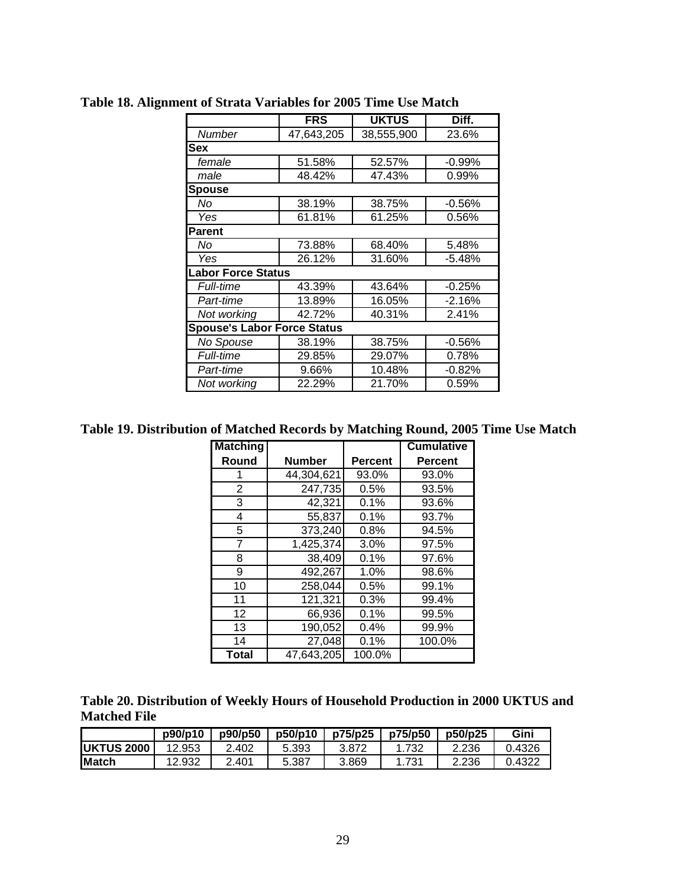|                                    | <b>FRS</b> | <b>UKTUS</b> | Diff.    |
|------------------------------------|------------|--------------|----------|
|                                    |            |              |          |
| Number                             | 47,643,205 | 38,555,900   | 23.6%    |
| Sex                                |            |              |          |
| female                             | 51.58%     | 52.57%       | $-0.99%$ |
| male                               | 48.42%     | 47.43%       | 0.99%    |
| <b>Spouse</b>                      |            |              |          |
| No                                 | 38.19%     | 38.75%       | $-0.56%$ |
| Yes                                | 61.81%     | 61.25%       | 0.56%    |
| <b>Parent</b>                      |            |              |          |
| No                                 | 73.88%     | 68.40%       | 5.48%    |
| Yes                                | 26.12%     | 31.60%       | $-5.48%$ |
| <b>Labor Force Status</b>          |            |              |          |
| <b>Full-time</b>                   | 43.39%     | 43.64%       | $-0.25%$ |
| Part-time                          | 13.89%     | 16.05%       | $-2.16%$ |
| Not working                        | 42.72%     | 40.31%       | 2.41%    |
| <b>Spouse's Labor Force Status</b> |            |              |          |
| No Spouse                          | 38.19%     | 38.75%       | $-0.56%$ |
| <b>Full-time</b>                   | 29.85%     | 29.07%       | 0.78%    |
| Part-time                          | 9.66%      | 10.48%       | $-0.82%$ |
| Not working                        | 22.29%     | 21.70%       | 0.59%    |

**Table 18. Alignment of Strata Variables for 2005 Time Use Match** 

**Table 19. Distribution of Matched Records by Matching Round, 2005 Time Use Match** 

| <b>Matching</b> |               |                | <b>Cumulative</b> |
|-----------------|---------------|----------------|-------------------|
| Round           | <b>Number</b> | <b>Percent</b> | <b>Percent</b>    |
|                 | 44,304,621    | 93.0%          | 93.0%             |
| 2               | 247,735       | 0.5%           | 93.5%             |
| 3               | 42,321        | 0.1%           | 93.6%             |
| 4               | 55,837        | 0.1%           | 93.7%             |
| 5               | 373,240       | 0.8%           | 94.5%             |
| 7               | 1,425,374     | 3.0%           | 97.5%             |
| 8               | 38,409        | 0.1%           | 97.6%             |
| 9               | 492,267       | 1.0%           | 98.6%             |
| 10              | 258,044       | 0.5%           | 99.1%             |
| 11              | 121,321       | 0.3%           | 99.4%             |
| 12              | 66,936        | 0.1%           | 99.5%             |
| 13              | 190,052       | 0.4%           | 99.9%             |
| 14              | 27,048        | 0.1%           | 100.0%            |
| <b>Total</b>    | 47,643,205    | 100.0%         |                   |

| Table 20. Distribution of Weekly Hours of Household Production in 2000 UKTUS and |  |
|----------------------------------------------------------------------------------|--|
| <b>Matched File</b>                                                              |  |

|                   | p90/p10 | p90/p50 | p50/p10 | p75/p25 | p75/p50 | p50/p25 | Gini   |
|-------------------|---------|---------|---------|---------|---------|---------|--------|
| <b>UKTUS 2000</b> | 12.953  | 2.402   | 5.393   | 3.872   |         | 2.236   | 0.4326 |
| <b>Match</b>      | 12.932  | 2.401   | 5.387   | 3.869   | 1.731   | 2.236   | 0.4322 |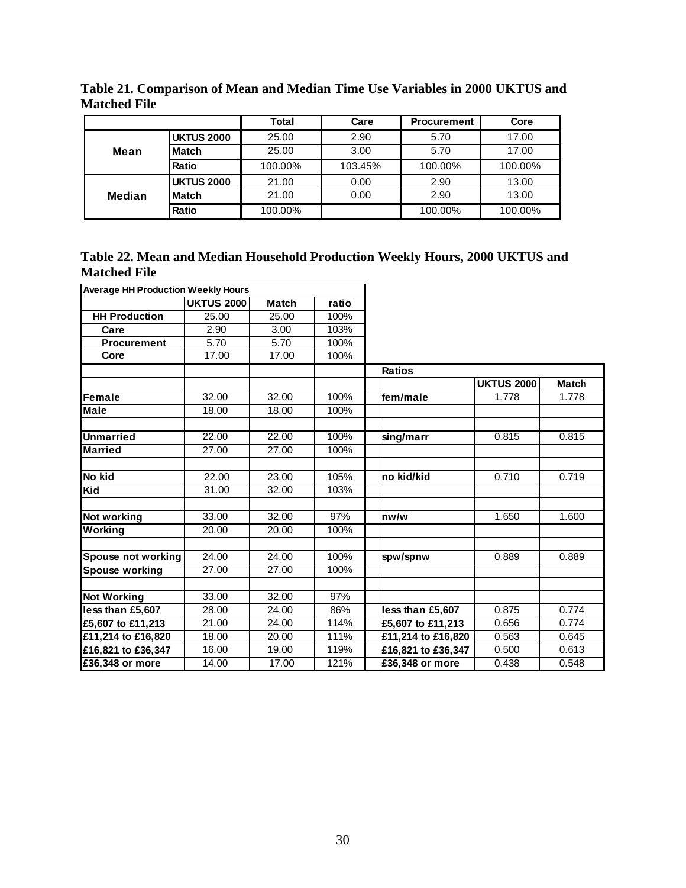|        |                   | Total   | Care    | <b>Procurement</b> | Core    |
|--------|-------------------|---------|---------|--------------------|---------|
|        | <b>UKTUS 2000</b> | 25.00   | 2.90    | 5.70               | 17.00   |
| Mean   | Match             | 25.00   | 3.00    | 5.70               | 17.00   |
|        | <b>Ratio</b>      | 100.00% | 103.45% | 100.00%            | 100.00% |
|        | <b>UKTUS 2000</b> | 21.00   | 0.00    | 2.90               | 13.00   |
| Median | Match             | 21.00   | 0.00    | 2.90               | 13.00   |
|        | Ratio             | 100.00% |         | 100.00%            | 100.00% |

**Table 21. Comparison of Mean and Median Time Use Variables in 2000 UKTUS and Matched File** 

|                     | Table 22. Mean and Median Household Production Weekly Hours, 2000 UKTUS and |  |  |  |  |
|---------------------|-----------------------------------------------------------------------------|--|--|--|--|
| <b>Matched File</b> |                                                                             |  |  |  |  |

| <b>Average HH Production Weekly Hours</b> |                   |              |       |      |                    |                   |              |
|-------------------------------------------|-------------------|--------------|-------|------|--------------------|-------------------|--------------|
|                                           | <b>UKTUS 2000</b> | <b>Match</b> | ratio |      |                    |                   |              |
| <b>HH Production</b>                      | 25.00             | 25.00        | 100%  |      |                    |                   |              |
| Care                                      | 2.90              | 3.00         | 103%  |      |                    |                   |              |
| <b>Procurement</b>                        | 5.70              | 5.70         | 100%  |      |                    |                   |              |
| Core                                      | 17.00             | 17.00        | 100%  |      |                    |                   |              |
|                                           |                   |              |       |      | <b>Ratios</b>      |                   |              |
|                                           |                   |              |       |      |                    | <b>UKTUS 2000</b> | <b>Match</b> |
| Female                                    | 32.00             | 32.00        | 100%  |      | fem/male           | 1.778             | 1.778        |
| <b>Male</b>                               | 18.00             | 18.00        | 100%  |      |                    |                   |              |
|                                           |                   |              |       |      |                    |                   |              |
| <b>Unmarried</b>                          | 22.00             | 22.00        | 100%  |      | sing/marr          | 0.815             | 0.815        |
| <b>Married</b>                            | 27.00             | 27.00        | 100%  |      |                    |                   |              |
|                                           |                   |              |       |      |                    |                   |              |
| No kid                                    | 22.00             | 23.00        | 105%  |      | no kid/kid         | 0.710             | 0.719        |
| Kid                                       | 31.00             | 32.00        | 103%  |      |                    |                   |              |
|                                           |                   |              |       |      |                    |                   |              |
| Not working                               | 33.00             | 32.00        | 97%   | nw/w |                    | 1.650             | 1.600        |
| Working                                   | 20.00             | 20.00        | 100%  |      |                    |                   |              |
|                                           |                   |              |       |      |                    |                   |              |
| Spouse not working                        | 24.00             | 24.00        | 100%  |      | spw/spnw           | 0.889             | 0.889        |
| Spouse working                            | 27.00             | 27.00        | 100%  |      |                    |                   |              |
|                                           |                   |              |       |      |                    |                   |              |
| <b>Not Working</b>                        | 33.00             | 32.00        | 97%   |      |                    |                   |              |
| less than £5,607                          | 28.00             | 24.00        | 86%   |      | less than £5,607   | 0.875             | 0.774        |
| £5,607 to £11,213                         | 21.00             | 24.00        | 114%  |      | £5,607 to £11,213  | 0.656             | 0.774        |
| £11,214 to £16,820                        | 18.00             | 20.00        | 111%  |      | £11,214 to £16,820 | 0.563             | 0.645        |
| £16,821 to £36,347                        | 16.00             | 19.00        | 119%  |      | £16,821 to £36,347 | 0.500             | 0.613        |
| £36,348 or more                           | 14.00             | 17.00        | 121%  |      | £36,348 or more    | 0.438             | 0.548        |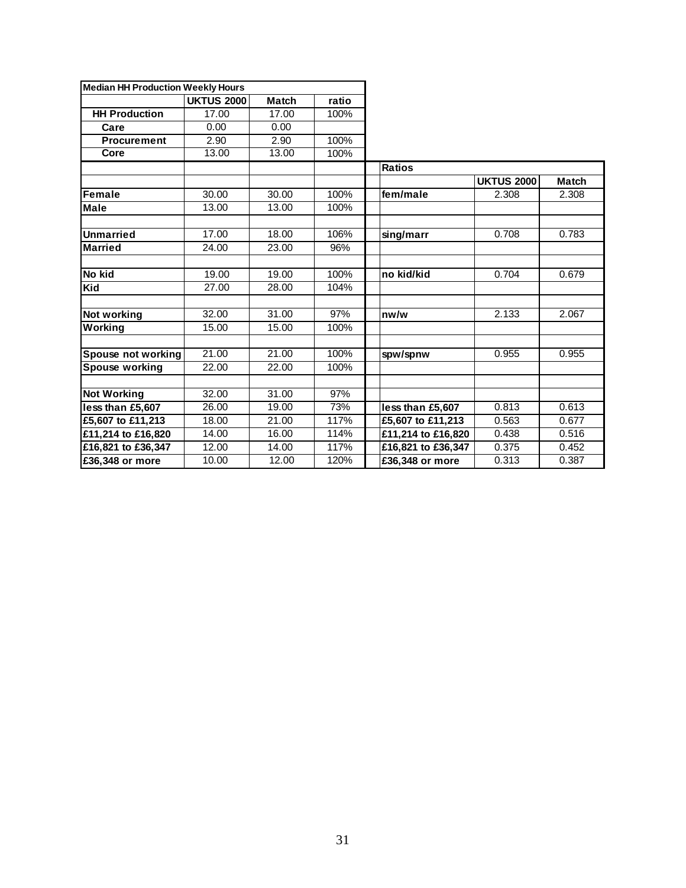| <b>Median HH Production Weekly Hours</b> |                   |              |       |  |                    |                   |              |
|------------------------------------------|-------------------|--------------|-------|--|--------------------|-------------------|--------------|
|                                          | <b>UKTUS 2000</b> | <b>Match</b> | ratio |  |                    |                   |              |
| <b>HH Production</b>                     | 17.00             | 17.00        | 100%  |  |                    |                   |              |
| Care                                     | 0.00              | 0.00         |       |  |                    |                   |              |
| <b>Procurement</b>                       | 2.90              | 2.90         | 100%  |  |                    |                   |              |
| Core                                     | 13.00             | 13.00        | 100%  |  |                    |                   |              |
|                                          |                   |              |       |  | <b>Ratios</b>      |                   |              |
|                                          |                   |              |       |  |                    | <b>UKTUS 2000</b> | <b>Match</b> |
| Female                                   | 30.00             | 30.00        | 100%  |  | fem/male           | 2.308             | 2.308        |
| Male                                     | 13.00             | 13.00        | 100%  |  |                    |                   |              |
|                                          |                   |              |       |  |                    |                   |              |
| <b>Unmarried</b>                         | 17.00             | 18.00        | 106%  |  | sing/marr          | 0.708             | 0.783        |
| <b>Married</b>                           | 24.00             | 23.00        | 96%   |  |                    |                   |              |
|                                          |                   |              |       |  |                    |                   |              |
| No kid                                   | 19.00             | 19.00        | 100%  |  | no kid/kid         | 0.704             | 0.679        |
| Kid                                      | 27.00             | 28.00        | 104%  |  |                    |                   |              |
|                                          |                   |              |       |  |                    |                   |              |
| Not working                              | 32.00             | 31.00        | 97%   |  | nw/w               | 2.133             | 2.067        |
| Working                                  | 15.00             | 15.00        | 100%  |  |                    |                   |              |
|                                          |                   |              |       |  |                    |                   |              |
| Spouse not working                       | 21.00             | 21.00        | 100%  |  | spw/spnw           | 0.955             | 0.955        |
| Spouse working                           | 22.00             | 22.00        | 100%  |  |                    |                   |              |
|                                          |                   |              |       |  |                    |                   |              |
| <b>Not Working</b>                       | 32.00             | 31.00        | 97%   |  |                    |                   |              |
| less than £5,607                         | 26.00             | 19.00        | 73%   |  | less than £5,607   | 0.813             | 0.613        |
| £5,607 to £11,213                        | 18.00             | 21.00        | 117%  |  | £5,607 to £11,213  | 0.563             | 0.677        |
| £11,214 to £16,820                       | 14.00             | 16.00        | 114%  |  | £11,214 to £16,820 | 0.438             | 0.516        |
| £16,821 to £36,347                       | 12.00             | 14.00        | 117%  |  | £16,821 to £36,347 | 0.375             | 0.452        |
| £36,348 or more                          | 10.00             | 12.00        | 120%  |  | £36,348 or more    | 0.313             | 0.387        |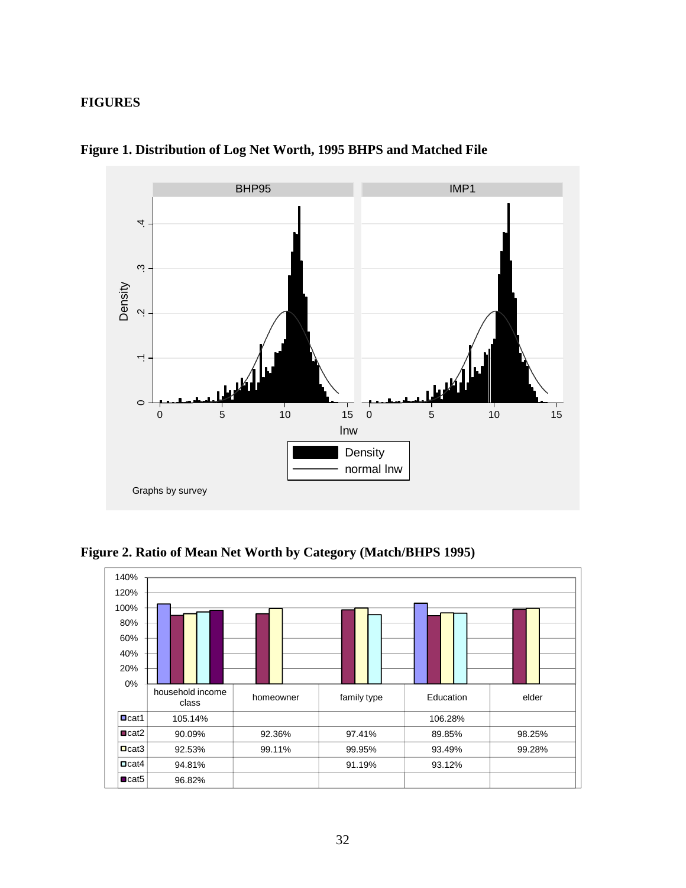# **FIGURES**



**Figure 1. Distribution of Log Net Worth, 1995 BHPS and Matched File** 

**Figure 2. Ratio of Mean Net Worth by Category (Match/BHPS 1995)** 

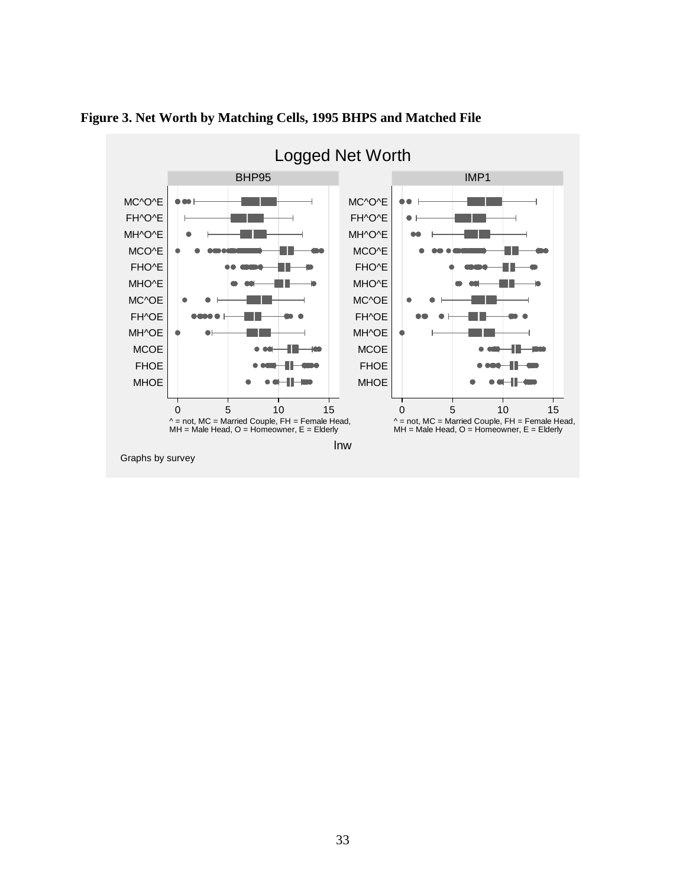

**Figure 3. Net Worth by Matching Cells, 1995 BHPS and Matched File**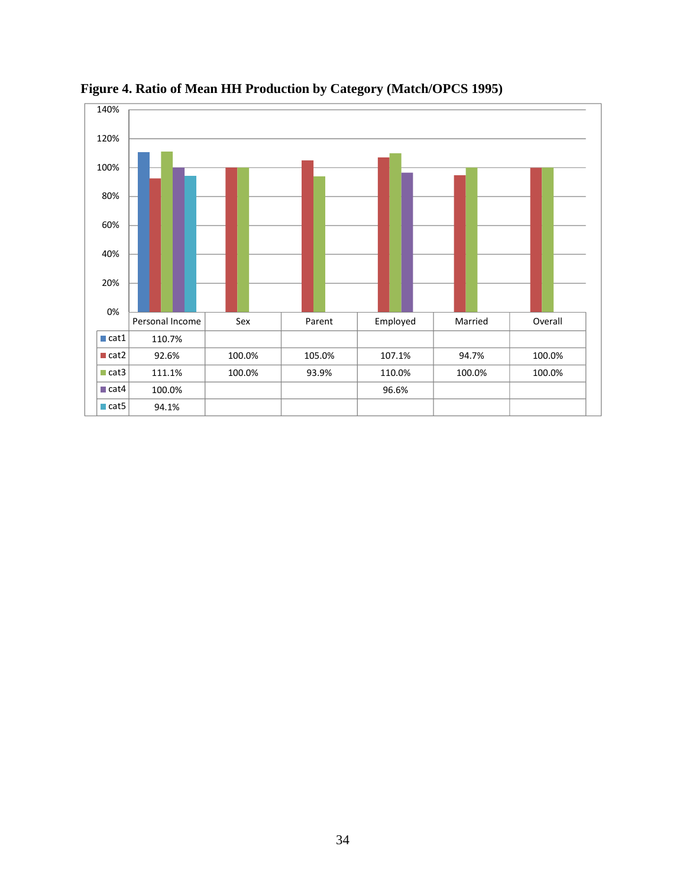

**Figure 4. Ratio of Mean HH Production by Category (Match/OPCS 1995)**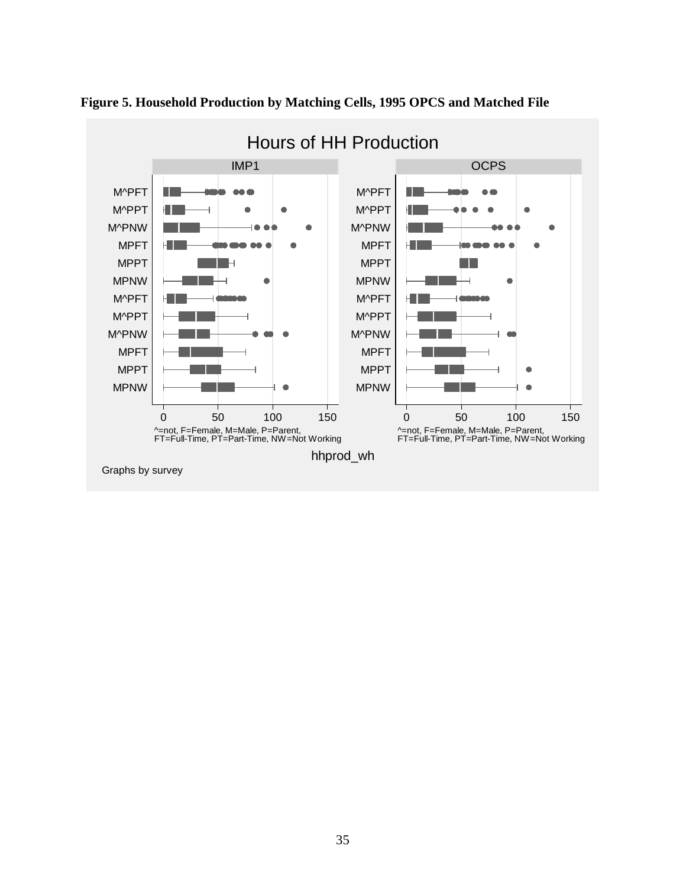

**Figure 5. Household Production by Matching Cells, 1995 OPCS and Matched File**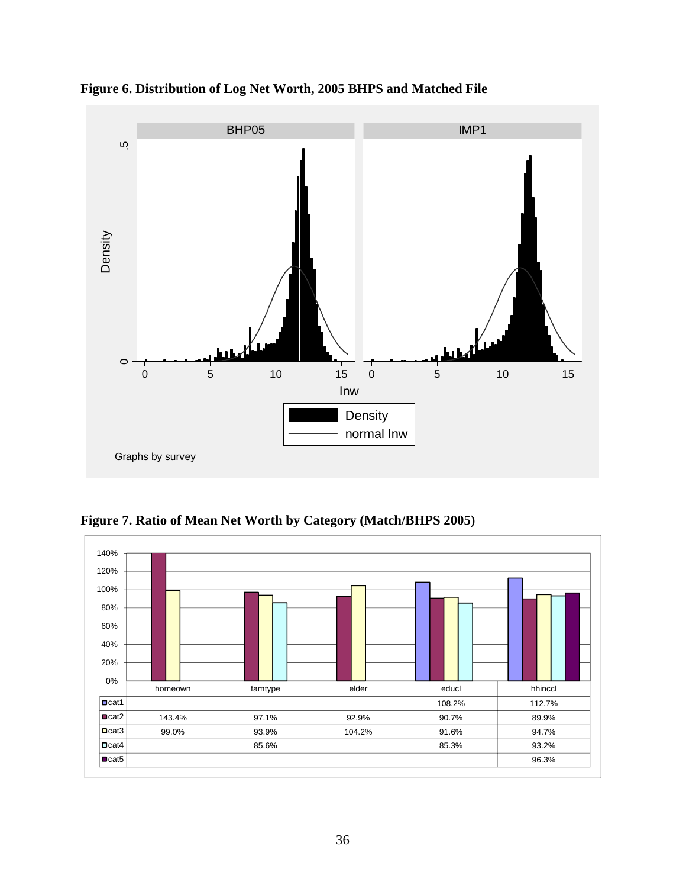

**Figure 6. Distribution of Log Net Worth, 2005 BHPS and Matched File** 

**Figure 7. Ratio of Mean Net Worth by Category (Match/BHPS 2005)** 

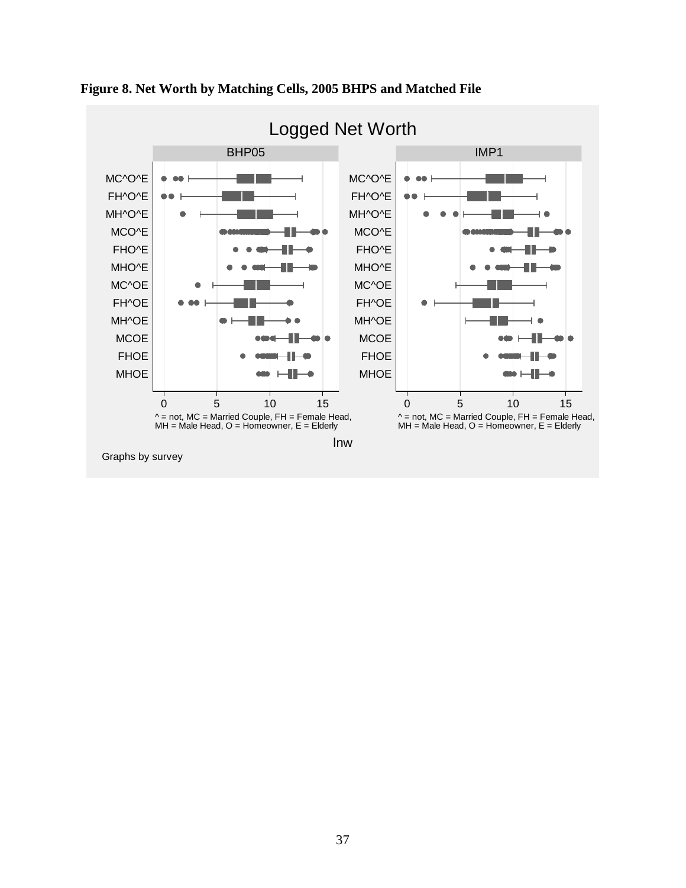

# **Figure 8. Net Worth by Matching Cells, 2005 BHPS and Matched File**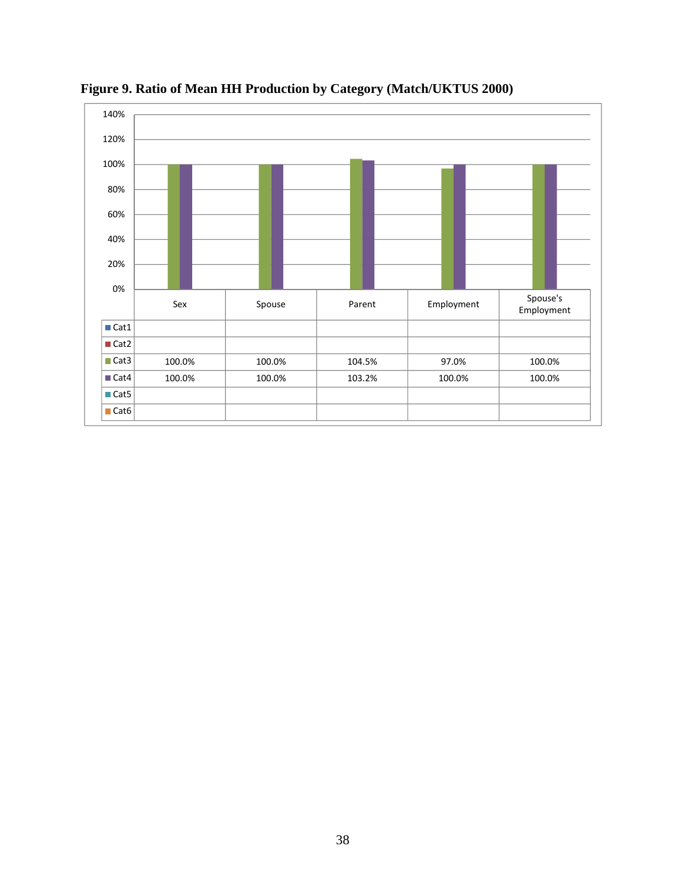

**Figure 9. Ratio of Mean HH Production by Category (Match/UKTUS 2000)**